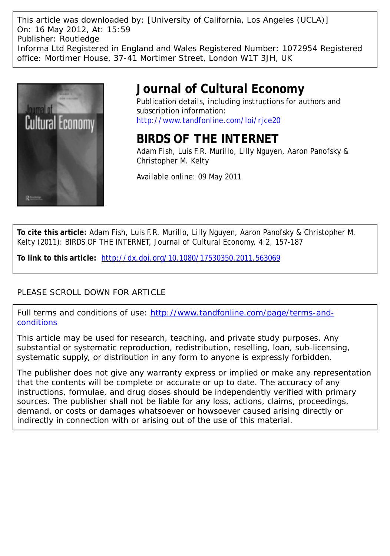This article was downloaded by: [University of California, Los Angeles (UCLA)] On: 16 May 2012, At: 15:59 Publisher: Routledge Informa Ltd Registered in England and Wales Registered Number: 1072954 Registered office: Mortimer House, 37-41 Mortimer Street, London W1T 3JH, UK



# **Journal of Cultural Economy**

Publication details, including instructions for authors and subscription information: <http://www.tandfonline.com/loi/rjce20>

## **BIRDS OF THE INTERNET**

Adam Fish, Luis F.R. Murillo, Lilly Nguyen, Aaron Panofsky & Christopher M. Kelty

Available online: 09 May 2011

**To cite this article:** Adam Fish, Luis F.R. Murillo, Lilly Nguyen, Aaron Panofsky & Christopher M. Kelty (2011): BIRDS OF THE INTERNET, Journal of Cultural Economy, 4:2, 157-187

**To link to this article:** <http://dx.doi.org/10.1080/17530350.2011.563069>

## PLEASE SCROLL DOWN FOR ARTICLE

Full terms and conditions of use: [http://www.tandfonline.com/page/terms-and](http://www.tandfonline.com/page/terms-and-conditions)[conditions](http://www.tandfonline.com/page/terms-and-conditions)

This article may be used for research, teaching, and private study purposes. Any substantial or systematic reproduction, redistribution, reselling, loan, sub-licensing, systematic supply, or distribution in any form to anyone is expressly forbidden.

The publisher does not give any warranty express or implied or make any representation that the contents will be complete or accurate or up to date. The accuracy of any instructions, formulae, and drug doses should be independently verified with primary sources. The publisher shall not be liable for any loss, actions, claims, proceedings, demand, or costs or damages whatsoever or howsoever caused arising directly or indirectly in connection with or arising out of the use of this material.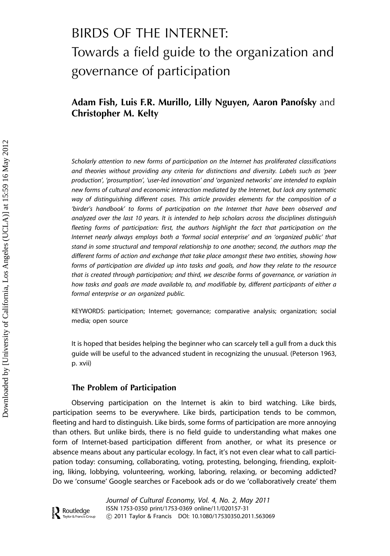# BIRDS OF THE INTERNET: Towards a field guide to the organization and governance of participation

## Adam Fish, Luis F.R. Murillo, Lilly Nguyen, Aaron Panofsky and Christopher M. Kelty

Scholarly attention to new forms of participation on the Internet has proliferated classifications and theories without providing any criteria for distinctions and diversity. Labels such as 'peer production', 'prosumption', 'user-led innovation' and 'organized networks' are intended to explain new forms of cultural and economic interaction mediated by the Internet, but lack any systematic way of distinguishing different cases. This article provides elements for the composition of a 'birder's handbook' to forms of participation on the Internet that have been observed and analyzed over the last 10 years. It is intended to help scholars across the disciplines distinguish fleeting forms of participation: first, the authors highlight the fact that participation on the Internet nearly always employs both a 'formal social enterprise' and an 'organized public' that stand in some structural and temporal relationship to one another; second, the authors map the different forms of action and exchange that take place amongst these two entities, showing how forms of participation are divided up into tasks and goals, and how they relate to the resource that is created through participation; and third, we describe forms of governance, or variation in how tasks and goals are made available to, and modifiable by, different participants of either a formal enterprise or an organized public.

KEYWORDS: participation; Internet; governance; comparative analysis; organization; social media; open source

It is hoped that besides helping the beginner who can scarcely tell a gull from a duck this guide will be useful to the advanced student in recognizing the unusual. (Peterson 1963, p. xvii)

#### The Problem of Participation

Observing participation on the Internet is akin to bird watching. Like birds, participation seems to be everywhere. Like birds, participation tends to be common, fleeting and hard to distinguish. Like birds, some forms of participation are more annoying than others. But unlike birds, there is no field guide to understanding what makes one form of Internet-based participation different from another, or what its presence or absence means about any particular ecology. In fact, it's not even clear what to call participation today: consuming, collaborating, voting, protesting, belonging, friending, exploiting, liking, lobbying, volunteering, working, laboring, relaxing, or becoming addicted? Do we 'consume' Google searches or Facebook ads or do we 'collaboratively create' them

Journal of Cultural Economy, Vol. 4, No. 2, May 2011 ISSN 1753-0350 print/1753-0369 online/11/020157-31  $\sum_{\text{R} \text{ M}}$  Routledge Taylor & Francis Group – 2011 Taylor & Francis DOI: 10.1080/17530350.2011.563069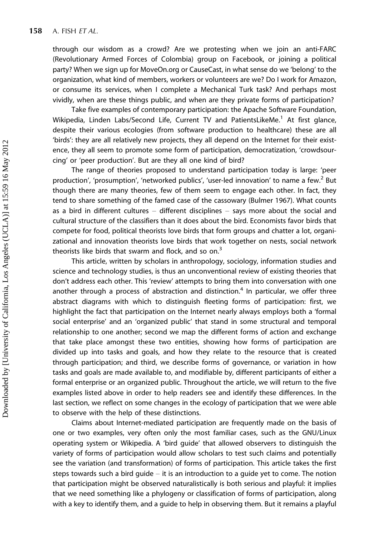through our wisdom as a crowd? Are we protesting when we join an anti-FARC (Revolutionary Armed Forces of Colombia) group on Facebook, or joining a political party? When we sign up for MoveOn.org or CauseCast, in what sense do we 'belong' to the organization, what kind of members, workers or volunteers are we? Do I work for Amazon, or consume its services, when I complete a Mechanical Turk task? And perhaps most vividly, when are these things public, and when are they private forms of participation?

Take five examples of contemporary participation: the Apache Software Foundation, Wikipedia, Linden Labs/Second Life, Current TV and PatientsLikeMe.<sup>1</sup> At first glance, despite their various ecologies (from software production to healthcare) these are all 'birds': they are all relatively new projects, they all depend on the Internet for their existence, they all seem to promote some form of participation, democratization, 'crowdsourcing' or 'peer production'. But are they all one kind of bird?

The range of theories proposed to understand participation today is large: 'peer production', 'prosumption', 'networked publics', 'user-led innovation' to name a few.<sup>2</sup> But though there are many theories, few of them seem to engage each other. In fact, they tend to share something of the famed case of the cassowary (Bulmer 1967). What counts as a bird in different cultures  $-$  different disciplines  $-$  says more about the social and cultural structure of the classifiers than it does about the bird. Economists favor birds that compete for food, political theorists love birds that form groups and chatter a lot, organizational and innovation theorists love birds that work together on nests, social network theorists like birds that swarm and flock, and so on. $3$ 

This article, written by scholars in anthropology, sociology, information studies and science and technology studies, is thus an unconventional review of existing theories that don't address each other. This 'review' attempts to bring them into conversation with one another through a process of abstraction and distinction.<sup>4</sup> In particular, we offer three abstract diagrams with which to distinguish fleeting forms of participation: first, we highlight the fact that participation on the Internet nearly always employs both a 'formal social enterprise' and an 'organized public' that stand in some structural and temporal relationship to one another; second we map the different forms of action and exchange that take place amongst these two entities, showing how forms of participation are divided up into tasks and goals, and how they relate to the resource that is created through participation; and third, we describe forms of governance, or variation in how tasks and goals are made available to, and modifiable by, different participants of either a formal enterprise or an organized public. Throughout the article, we will return to the five examples listed above in order to help readers see and identify these differences. In the last section, we reflect on some changes in the ecology of participation that we were able to observe with the help of these distinctions.

Claims about Internet-mediated participation are frequently made on the basis of one or two examples, very often only the most familiar cases, such as the GNU/Linux operating system or Wikipedia. A 'bird guide' that allowed observers to distinguish the variety of forms of participation would allow scholars to test such claims and potentially see the variation (and transformation) of forms of participation. This article takes the first steps towards such a bird guide  $-$  it is an introduction to a guide yet to come. The notion that participation might be observed naturalistically is both serious and playful: it implies that we need something like a phylogeny or classification of forms of participation, along with a key to identify them, and a guide to help in observing them. But it remains a playful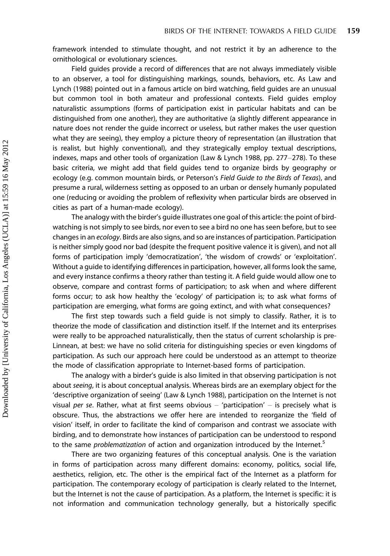framework intended to stimulate thought, and not restrict it by an adherence to the ornithological or evolutionary sciences.

Field guides provide a record of differences that are not always immediately visible to an observer, a tool for distinguishing markings, sounds, behaviors, etc. As Law and Lynch (1988) pointed out in a famous article on bird watching, field guides are an unusual but common tool in both amateur and professional contexts. Field guides employ naturalistic assumptions (forms of participation exist in particular habitats and can be distinguished from one another), they are authoritative (a slightly different appearance in nature does not render the guide incorrect or useless, but rather makes the user question what they are seeing), they employ a picture theory of representation (an illustration that is realist, but highly conventional), and they strategically employ textual descriptions, indexes, maps and other tools of organization (Law & Lynch 1988, pp. 277-278). To these basic criteria, we might add that field guides tend to organize birds by geography or ecology (e.g. common mountain birds, or Peterson's Field Guide to the Birds of Texas), and presume a rural, wilderness setting as opposed to an urban or densely humanly populated one (reducing or avoiding the problem of reflexivity when particular birds are observed in cities as part of a human-made ecology).

The analogy with the birder's guide illustrates one goal of this article: the point of birdwatching is not simply to see birds, nor even to see a bird no one has seen before, but to see changes in an ecology. Birds are also signs, and so are instances of participation. Participation is neither simply good nor bad (despite the frequent positive valence it is given), and not all forms of participation imply 'democratization', 'the wisdom of crowds' or 'exploitation'. Without a guide to identifying differences in participation, however, all forms look the same, and every instance confirms a theory rather than testing it. A field guide would allow one to observe, compare and contrast forms of participation; to ask when and where different forms occur; to ask how healthy the 'ecology' of participation is; to ask what forms of participation are emerging, what forms are going extinct, and with what consequences?

The first step towards such a field guide is not simply to classify. Rather, it is to theorize the mode of classification and distinction itself. If the Internet and its enterprises were really to be approached naturalistically, then the status of current scholarship is pre-Linnean, at best: we have no solid criteria for distinguishing species or even kingdoms of participation. As such our approach here could be understood as an attempt to theorize the mode of classification appropriate to Internet-based forms of participation.

The analogy with a birder's guide is also limited in that observing participation is not about seeing, it is about conceptual analysis. Whereas birds are an exemplary object for the 'descriptive organization of seeing' (Law & Lynch 1988), participation on the Internet is not visual per se. Rather, what at first seems obvious  $-$  'participation'  $-$  is precisely what is obscure. Thus, the abstractions we offer here are intended to reorganize the 'field of vision' itself, in order to facilitate the kind of comparison and contrast we associate with birding, and to demonstrate how instances of participation can be understood to respond to the same *problematization* of action and organization introduced by the Internet.<sup>5</sup>

There are two organizing features of this conceptual analysis. One is the variation in forms of participation across many different domains: economy, politics, social life, aesthetics, religion, etc. The other is the empirical fact of the Internet as a platform for participation. The contemporary ecology of participation is clearly related to the Internet, but the Internet is not the cause of participation. As a platform, the Internet is specific: it is not information and communication technology generally, but a historically specific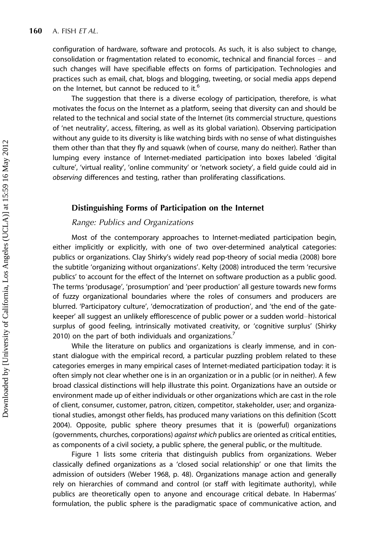configuration of hardware, software and protocols. As such, it is also subject to change, consolidation or fragmentation related to economic, technical and financial forces  $-$  and such changes will have specifiable effects on forms of participation. Technologies and practices such as email, chat, blogs and blogging, tweeting, or social media apps depend on the Internet, but cannot be reduced to it.<sup>6</sup>

The suggestion that there is a diverse ecology of participation, therefore, is what motivates the focus on the Internet as a platform, seeing that diversity can and should be related to the technical and social state of the Internet (its commercial structure, questions of 'net neutrality', access, filtering, as well as its global variation). Observing participation without any guide to its diversity is like watching birds with no sense of what distinguishes them other than that they fly and squawk (when of course, many do neither). Rather than lumping every instance of Internet-mediated participation into boxes labeled 'digital culture', 'virtual reality', 'online community' or 'network society', a field guide could aid in observing differences and testing, rather than proliferating classifications.

### Distinguishing Forms of Participation on the Internet

### Range: Publics and Organizations

Most of the contemporary approaches to Internet-mediated participation begin, either implicitly or explicitly, with one of two over-determined analytical categories: publics or organizations. Clay Shirky's widely read pop-theory of social media (2008) bore the subtitle 'organizing without organizations'. Kelty (2008) introduced the term 'recursive publics' to account for the effect of the Internet on software production as a public good. The terms 'produsage', 'prosumption' and 'peer production' all gesture towards new forms of fuzzy organizational boundaries where the roles of consumers and producers are blurred. 'Participatory culture', 'democratization of production', and 'the end of the gatekeeper' all suggest an unlikely efflorescence of public power or a sudden world-historical surplus of good feeling, intrinsically motivated creativity, or 'cognitive surplus' (Shirky 2010) on the part of both individuals and organizations.<sup>7</sup>

While the literature on publics and organizations is clearly immense, and in constant dialogue with the empirical record, a particular puzzling problem related to these categories emerges in many empirical cases of Internet-mediated participation today: it is often simply not clear whether one is in an organization or in a public (or in neither). A few broad classical distinctions will help illustrate this point. Organizations have an outside or environment made up of either individuals or other organizations which are cast in the role of client, consumer, customer, patron, citizen, competitor, stakeholder, user; and organizational studies, amongst other fields, has produced many variations on this definition (Scott 2004). Opposite, public sphere theory presumes that it is (powerful) organizations (governments, churches, corporations) against which publics are oriented as critical entities, as components of a civil society, a public sphere, the general public, or the multitude.

Figure 1 lists some criteria that distinguish publics from organizations. Weber classically defined organizations as a 'closed social relationship' or one that limits the admission of outsiders (Weber 1968, p. 48). Organizations manage action and generally rely on hierarchies of command and control (or staff with legitimate authority), while publics are theoretically open to anyone and encourage critical debate. In Habermas' formulation, the public sphere is the paradigmatic space of communicative action, and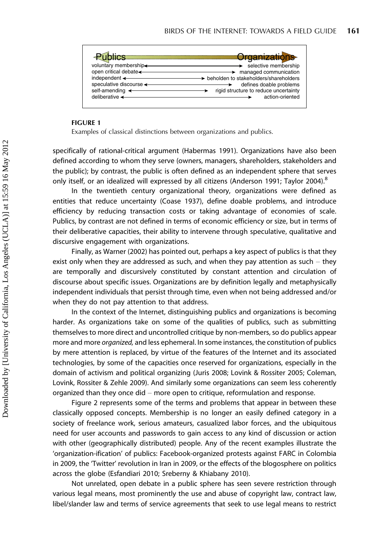|                             | <b>Crganizations</b>                  |
|-----------------------------|---------------------------------------|
| voluntary membership        | selective membership                  |
| open critical debate        | managed communication                 |
| independent $\triangleleft$ | beholden to stakeholders/shareholders |
| speculative discourse <     | defines doable problems               |
| self-amending               | rigid structure to reduce uncertainty |
| deliberative <              | action-oriented                       |

#### FIGURE 1

Examples of classical distinctions between organizations and publics.

specifically of rational-critical argument (Habermas 1991). Organizations have also been defined according to whom they serve (owners, managers, shareholders, stakeholders and the public); by contrast, the public is often defined as an independent sphere that serves only itself, or an idealized will expressed by all citizens (Anderson 1991; Taylor 2004).<sup>8</sup>

In the twentieth century organizational theory, organizations were defined as entities that reduce uncertainty (Coase 1937), define doable problems, and introduce efficiency by reducing transaction costs or taking advantage of economies of scale. Publics, by contrast are not defined in terms of economic efficiency or size, but in terms of their deliberative capacities, their ability to intervene through speculative, qualitative and discursive engagement with organizations.

Finally, as Warner (2002) has pointed out, perhaps a key aspect of publics is that they exist only when they are addressed as such, and when they pay attention as such  $-$  they are temporally and discursively constituted by constant attention and circulation of discourse about specific issues. Organizations are by definition legally and metaphysically independent individuals that persist through time, even when not being addressed and/or when they do not pay attention to that address.

In the context of the Internet, distinguishing publics and organizations is becoming harder. As organizations take on some of the qualities of publics, such as submitting themselves to more direct and uncontrolled critique by non-members, so do publics appear more and more *organized*, and less ephemeral. In some instances, the constitution of publics by mere attention is replaced, by virtue of the features of the Internet and its associated technologies, by some of the capacities once reserved for organizations, especially in the domain of activism and political organizing (Juris 2008; Lovink & Rossiter 2005; Coleman, Lovink, Rossiter & Zehle 2009). And similarly some organizations can seem less coherently organized than they once did - more open to critique, reformulation and response.

Figure 2 represents some of the terms and problems that appear in between these classically opposed concepts. Membership is no longer an easily defined category in a society of freelance work, serious amateurs, casualized labor forces, and the ubiquitous need for user accounts and passwords to gain access to any kind of discussion or action with other (geographically distributed) people. Any of the recent examples illustrate the 'organization-ification' of publics: Facebook-organized protests against FARC in Colombia in 2009, the 'Twitter' revolution in Iran in 2009, or the effects of the blogosphere on politics across the globe (Esfandiari 2010; Sreberny & Khiabany 2010).

Not unrelated, open debate in a public sphere has seen severe restriction through various legal means, most prominently the use and abuse of copyright law, contract law, libel/slander law and terms of service agreements that seek to use legal means to restrict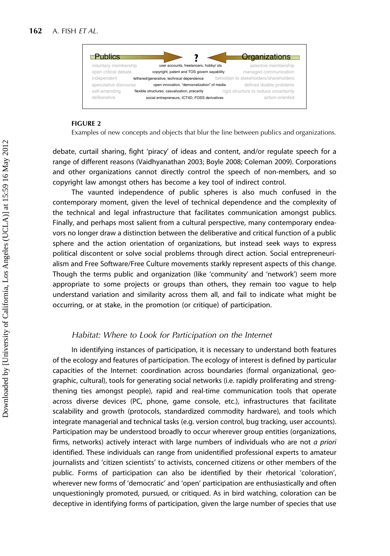

#### FIGURE 2

Examples of new concepts and objects that blur the line between publics and organizations.

debate, curtail sharing, fight 'piracy' of ideas and content, and/or regulate speech for a range of different reasons (Vaidhyanathan 2003; Boyle 2008; Coleman 2009). Corporations and other organizations cannot directly control the speech of non-members, and so copyright law amongst others has become a key tool of indirect control.

The vaunted independence of public spheres is also much confused in the contemporary moment, given the level of technical dependence and the complexity of the technical and legal infrastructure that facilitates communication amongst publics. Finally, and perhaps most salient from a cultural perspective, many contemporary endeavors no longer draw a distinction between the deliberative and critical function of a public sphere and the action orientation of organizations, but instead seek ways to express political discontent or solve social problems through direct action. Social entrepreneurialism and Free Software/Free Culture movements starkly represent aspects of this change. Though the terms public and organization (like 'community' and 'network') seem more appropriate to some projects or groups than others, they remain too vague to help understand variation and similarity across them all, and fail to indicate what might be occurring, or at stake, in the promotion (or critique) of participation.

#### Habitat: Where to Look for Participation on the Internet

In identifying instances of participation, it is necessary to understand both features of the ecology and features of participation. The ecology of interest is defined by particular capacities of the Internet: coordination across boundaries (formal organizational, geographic, cultural), tools for generating social networks (i.e. rapidly proliferating and strengthening ties amongst people), rapid and real-time communication tools that operate across diverse devices (PC, phone, game console, etc.), infrastructures that facilitate scalability and growth (protocols, standardized commodity hardware), and tools which integrate managerial and technical tasks (e.g. version control, bug tracking, user accounts). Participation may be understood broadly to occur wherever group entities (organizations, firms, networks) actively interact with large numbers of individuals who are not a priori identified. These individuals can range from unidentified professional experts to amateur journalists and 'citizen scientists' to activists, concerned citizens or other members of the public. Forms of participation can also be identified by their rhetorical 'coloration', wherever new forms of 'democratic' and 'open' participation are enthusiastically and often unquestioningly promoted, pursued, or critiqued. As in bird watching, coloration can be deceptive in identifying forms of participation, given the large number of species that use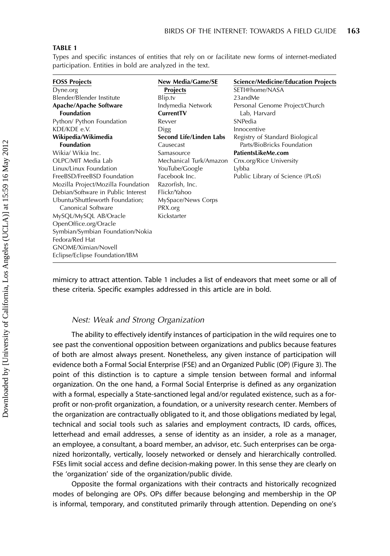#### TABLE 1

Types and specific instances of entities that rely on or facilitate new forms of internet-mediated participation. Entities in bold are analyzed in the text.

| <b>FOSS Projects</b><br>Dyne.org   | <b>New Media/Game/SE</b><br><b>Projects</b> | <b>Science/Medicine/Education Projects</b><br>SETI@home/NASA |
|------------------------------------|---------------------------------------------|--------------------------------------------------------------|
| Blender/Blender Institute          | Blip.tv                                     | 23andMe                                                      |
| Apache/Apache Software             | Indymedia Network                           | Personal Genome Project/Church                               |
| <b>Foundation</b>                  | CurrentTV                                   | Lab, Harvard                                                 |
| Python/ Python Foundation          | Revver                                      | SNPedia                                                      |
| KDE/KDE e.V.                       | Digg                                        | Innocentive                                                  |
| Wikipedia/Wikimedia                | Second Life/Linden Labs                     | Registry of Standard Biological                              |
| <b>Foundation</b>                  | Causecast                                   | Parts/BioBricks Foundation                                   |
| Wikia/ Wikia Inc.                  | Samasource                                  | PatientsLikeMe.com                                           |
| OLPC/MIT Media Lab                 | Mechanical Turk/Amazon                      | Cnx.org/Rice University                                      |
| Linux/Linux Foundation             | YouTube/Google                              | Lybba                                                        |
| FreeBSD/FreeBSD Foundation         | Facebook Inc.                               | Public Library of Science (PLoS)                             |
| Mozilla Project/Mozilla Foundation | Razorfish, Inc.                             |                                                              |
| Debian/Software in Public Interest | Flickr/Yahoo                                |                                                              |
| Ubuntu/Shuttleworth Foundation;    | MySpace/News Corps                          |                                                              |
| Canonical Software                 | PRX.org                                     |                                                              |
| MySQL/MySQL AB/Oracle              | Kickstarter                                 |                                                              |
| OpenOffice.org/Oracle              |                                             |                                                              |
| Symbian/Symbian Foundation/Nokia   |                                             |                                                              |
| Fedora/Red Hat                     |                                             |                                                              |
| GNOME/Ximian/Novell                |                                             |                                                              |
| Eclipse/Eclipse Foundation/IBM     |                                             |                                                              |

mimicry to attract attention. Table 1 includes a list of endeavors that meet some or all of these criteria. Specific examples addressed in this article are in bold.

#### Nest: Weak and Strong Organization

The ability to effectively identify instances of participation in the wild requires one to see past the conventional opposition between organizations and publics because features of both are almost always present. Nonetheless, any given instance of participation will evidence both a Formal Social Enterprise (FSE) and an Organized Public (OP) (Figure 3). The point of this distinction is to capture a simple tension between formal and informal organization. On the one hand, a Formal Social Enterprise is defined as any organization with a formal, especially a State-sanctioned legal and/or regulated existence, such as a forprofit or non-profit organization, a foundation, or a university research center. Members of the organization are contractually obligated to it, and those obligations mediated by legal, technical and social tools such as salaries and employment contracts, ID cards, offices, letterhead and email addresses, a sense of identity as an insider, a role as a manager, an employee, a consultant, a board member, an advisor, etc. Such enterprises can be organized horizontally, vertically, loosely networked or densely and hierarchically controlled. FSEs limit social access and define decision-making power. In this sense they are clearly on the 'organization' side of the organization/public divide.

Opposite the formal organizations with their contracts and historically recognized modes of belonging are OPs. OPs differ because belonging and membership in the OP is informal, temporary, and constituted primarily through attention. Depending on one's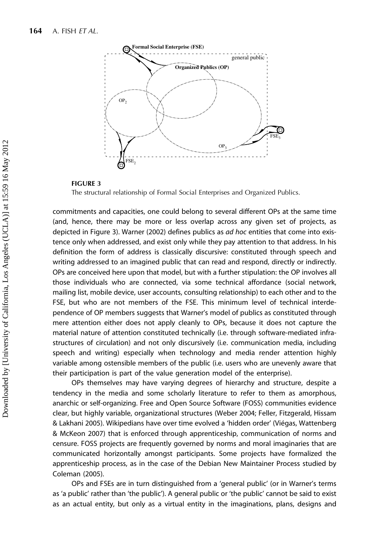

#### FIGURE 3

The structural relationship of Formal Social Enterprises and Organized Publics.

commitments and capacities, one could belong to several different OPs at the same time (and, hence, there may be more or less overlap across any given set of projects, as depicted in Figure 3). Warner (2002) defines publics as *ad hoc* entities that come into existence only when addressed, and exist only while they pay attention to that address. In his definition the form of address is classically discursive: constituted through speech and writing addressed to an imagined public that can read and respond, directly or indirectly. OPs are conceived here upon that model, but with a further stipulation: the OP involves all those individuals who are connected, via some technical affordance (social network, mailing list, mobile device, user accounts, consulting relationship) to each other and to the FSE, but who are not members of the FSE. This minimum level of technical interdependence of OP members suggests that Warner's model of publics as constituted through mere attention either does not apply cleanly to OPs, because it does not capture the material nature of attention constituted technically (i.e. through software-mediated infrastructures of circulation) and not only discursively (i.e. communication media, including speech and writing) especially when technology and media render attention highly variable among ostensible members of the public (i.e. users who are unevenly aware that their participation is part of the value generation model of the enterprise).

OPs themselves may have varying degrees of hierarchy and structure, despite a tendency in the media and some scholarly literature to refer to them as amorphous, anarchic or self-organizing. Free and Open Source Software (FOSS) communities evidence clear, but highly variable, organizational structures (Weber 2004; Feller, Fitzgerald, Hissam & Lakhani 2005). Wikipedians have over time evolved a 'hidden order' (Viégas, Wattenberg & McKeon 2007) that is enforced through apprenticeship, communication of norms and censure. FOSS projects are frequently governed by norms and moral imaginaries that are communicated horizontally amongst participants. Some projects have formalized the apprenticeship process, as in the case of the Debian New Maintainer Process studied by Coleman (2005).

OPs and FSEs are in turn distinguished from a 'general public' (or in Warner's terms as 'a public' rather than 'the public'). A general public or 'the public' cannot be said to exist as an actual entity, but only as a virtual entity in the imaginations, plans, designs and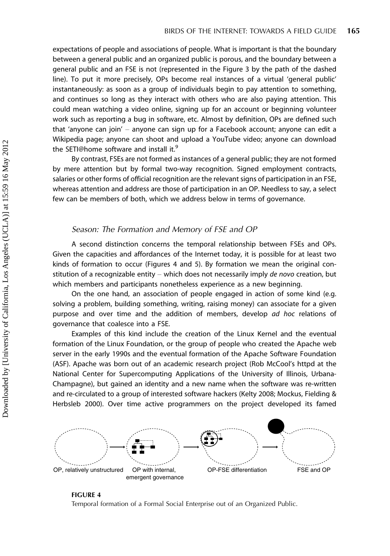expectations of people and associations of people. What is important is that the boundary between a general public and an organized public is porous, and the boundary between a general public and an FSE is not (represented in the Figure 3 by the path of the dashed line). To put it more precisely, OPs become real instances of a virtual 'general public' instantaneously: as soon as a group of individuals begin to pay attention to something, and continues so long as they interact with others who are also paying attention. This could mean watching a video online, signing up for an account or beginning volunteer work such as reporting a bug in software, etc. Almost by definition, OPs are defined such that 'anyone can join' - anyone can sign up for a Facebook account; anyone can edit a Wikipedia page; anyone can shoot and upload a YouTube video; anyone can download the SETI@home software and install it.<sup>9</sup>

By contrast, FSEs are not formed as instances of a general public; they are not formed by mere attention but by formal two-way recognition. Signed employment contracts, salaries or other forms of official recognition are the relevant signs of participation in an FSE, whereas attention and address are those of participation in an OP. Needless to say, a select few can be members of both, which we address below in terms of governance.

## Season: The Formation and Memory of FSE and OP

A second distinction concerns the temporal relationship between FSEs and OPs. Given the capacities and affordances of the Internet today, it is possible for at least two kinds of formation to occur (Figures 4 and 5). By formation we mean the original constitution of a recognizable entity  $-$  which does not necessarily imply de novo creation, but which members and participants nonetheless experience as a new beginning.

On the one hand, an association of people engaged in action of some kind (e.g. solving a problem, building something, writing, raising money) can associate for a given purpose and over time and the addition of members, develop ad hoc relations of governance that coalesce into a FSE.

Examples of this kind include the creation of the Linux Kernel and the eventual formation of the Linux Foundation, or the group of people who created the Apache web server in the early 1990s and the eventual formation of the Apache Software Foundation (ASF). Apache was born out of an academic research project (Rob McCool's httpd at the National Center for Supercomputing Applications of the University of Illinois, Urbana-Champagne), but gained an identity and a new name when the software was re-written and re-circulated to a group of interested software hackers (Kelty 2008; Mockus, Fielding & Herbsleb 2000). Over time active programmers on the project developed its famed



#### FIGURE 4

Temporal formation of a Formal Social Enterprise out of an Organized Public.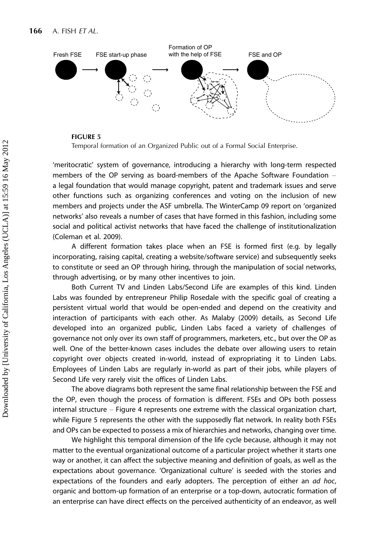

#### FIGURE 5

Temporal formation of an Organized Public out of a Formal Social Enterprise.

'meritocratic' system of governance, introducing a hierarchy with long-term respected members of the OP serving as board-members of the Apache Software Foundation a legal foundation that would manage copyright, patent and trademark issues and serve other functions such as organizing conferences and voting on the inclusion of new members and projects under the ASF umbrella. The WinterCamp 09 report on 'organized networks' also reveals a number of cases that have formed in this fashion, including some social and political activist networks that have faced the challenge of institutionalization (Coleman et al. 2009).

A different formation takes place when an FSE is formed first (e.g. by legally incorporating, raising capital, creating a website/software service) and subsequently seeks to constitute or seed an OP through hiring, through the manipulation of social networks, through advertising, or by many other incentives to join.

Both Current TV and Linden Labs/Second Life are examples of this kind. Linden Labs was founded by entrepreneur Philip Rosedale with the specific goal of creating a persistent virtual world that would be open-ended and depend on the creativity and interaction of participants with each other. As Malaby (2009) details, as Second Life developed into an organized public, Linden Labs faced a variety of challenges of governance not only over its own staff of programmers, marketers, etc., but over the OP as well. One of the better-known cases includes the debate over allowing users to retain copyright over objects created in-world, instead of expropriating it to Linden Labs. Employees of Linden Labs are regularly in-world as part of their jobs, while players of Second Life very rarely visit the offices of Linden Labs.

The above diagrams both represent the same final relationship between the FSE and the OP, even though the process of formation is different. FSEs and OPs both possess  $interral structure - Figure 4$  represents one extreme with the classical organization chart, while Figure 5 represents the other with the supposedly flat network. In reality both FSEs and OPs can be expected to possess a mix of hierarchies and networks, changing over time.

We highlight this temporal dimension of the life cycle because, although it may not matter to the eventual organizational outcome of a particular project whether it starts one way or another, it can affect the subjective meaning and definition of goals, as well as the expectations about governance. 'Organizational culture' is seeded with the stories and expectations of the founders and early adopters. The perception of either an ad hoc, organic and bottom-up formation of an enterprise or a top-down, autocratic formation of an enterprise can have direct effects on the perceived authenticity of an endeavor, as well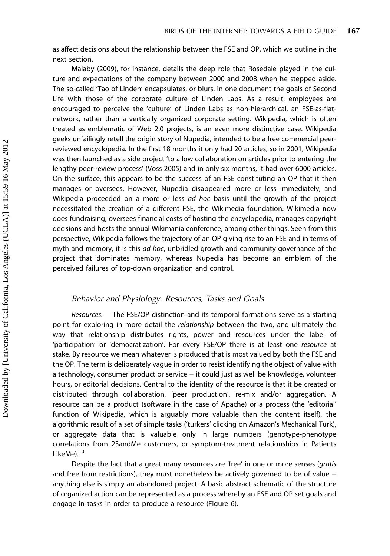as affect decisions about the relationship between the FSE and OP, which we outline in the next section.

Malaby (2009), for instance, details the deep role that Rosedale played in the culture and expectations of the company between 2000 and 2008 when he stepped aside. The so-called 'Tao of Linden' encapsulates, or blurs, in one document the goals of Second Life with those of the corporate culture of Linden Labs. As a result, employees are encouraged to perceive the 'culture' of Linden Labs as non-hierarchical, an FSE-as-flatnetwork, rather than a vertically organized corporate setting. Wikipedia, which is often treated as emblematic of Web 2.0 projects, is an even more distinctive case. Wikipedia geeks unfailingly retell the origin story of Nupedia, intended to be a free commercial peerreviewed encyclopedia. In the first 18 months it only had 20 articles, so in 2001, Wikipedia was then launched as a side project 'to allow collaboration on articles prior to entering the lengthy peer-review process' (Voss 2005) and in only six months, it had over 6000 articles. On the surface, this appears to be the success of an FSE constituting an OP that it then manages or oversees. However, Nupedia disappeared more or less immediately, and Wikipedia proceeded on a more or less ad hoc basis until the growth of the project necessitated the creation of a different FSE, the Wikimedia foundation. Wikimedia now does fundraising, oversees financial costs of hosting the encyclopedia, manages copyright decisions and hosts the annual Wikimania conference, among other things. Seen from this perspective, Wikipedia follows the trajectory of an OP giving rise to an FSE and in terms of myth and memory, it is this ad hoc, unbridled growth and community governance of the project that dominates memory, whereas Nupedia has become an emblem of the perceived failures of top-down organization and control.

## Behavior and Physiology: Resources, Tasks and Goals

Resources. The FSE/OP distinction and its temporal formations serve as a starting point for exploring in more detail the relationship between the two, and ultimately the way that relationship distributes rights, power and resources under the label of 'participation' or 'democratization'. For every FSE/OP there is at least one resource at stake. By resource we mean whatever is produced that is most valued by both the FSE and the OP. The term is deliberately vague in order to resist identifying the object of value with a technology, consumer product or service  $-$  it could just as well be knowledge, volunteer hours, or editorial decisions. Central to the identity of the resource is that it be created or distributed through collaboration, 'peer production', re-mix and/or aggregation. A resource can be a product (software in the case of Apache) or a process (the 'editorial' function of Wikipedia, which is arguably more valuable than the content itself), the algorithmic result of a set of simple tasks ('turkers' clicking on Amazon's Mechanical Turk), or aggregate data that is valuable only in large numbers (genotype-phenotype correlations from 23andMe customers, or symptom-treatment relationships in Patients LikeMe).<sup>10</sup>

Despite the fact that a great many resources are 'free' in one or more senses (gratis and free from restrictions), they must nonetheless be actively governed to be of value  $$ anything else is simply an abandoned project. A basic abstract schematic of the structure of organized action can be represented as a process whereby an FSE and OP set goals and engage in tasks in order to produce a resource (Figure 6).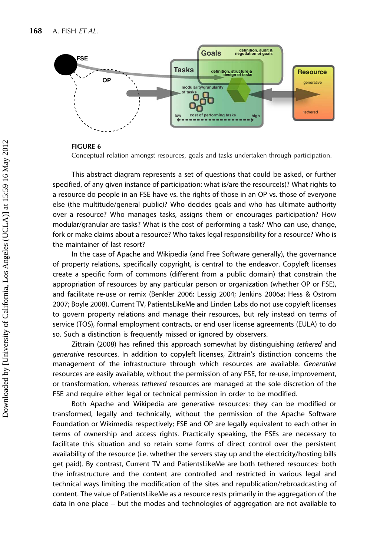

#### FIGURE 6

Conceptual relation amongst resources, goals and tasks undertaken through participation.

This abstract diagram represents a set of questions that could be asked, or further specified, of any given instance of participation: what is/are the resource(s)? What rights to a resource do people in an FSE have vs. the rights of those in an OP vs. those of everyone else (the multitude/general public)? Who decides goals and who has ultimate authority over a resource? Who manages tasks, assigns them or encourages participation? How modular/granular are tasks? What is the cost of performing a task? Who can use, change, fork or make claims about a resource? Who takes legal responsibility for a resource? Who is the maintainer of last resort?

In the case of Apache and Wikipedia (and Free Software generally), the governance of property relations, specifically copyright, is central to the endeavor. Copyleft licenses create a specific form of commons (different from a public domain) that constrain the appropriation of resources by any particular person or organization (whether OP or FSE), and facilitate re-use or remix (Benkler 2006; Lessig 2004; Jenkins 2006a; Hess & Ostrom 2007; Boyle 2008). Current TV, PatientsLikeMe and Linden Labs do not use copyleft licenses to govern property relations and manage their resources, but rely instead on terms of service (TOS), formal employment contracts, or end user license agreements (EULA) to do so. Such a distinction is frequently missed or ignored by observers.

Zittrain (2008) has refined this approach somewhat by distinguishing tethered and generative resources. In addition to copyleft licenses, Zittrain's distinction concerns the management of the infrastructure through which resources are available. Generative resources are easily available, without the permission of any FSE, for re-use, improvement, or transformation, whereas tethered resources are managed at the sole discretion of the FSE and require either legal or technical permission in order to be modified.

Both Apache and Wikipedia are generative resources: they can be modified or transformed, legally and technically, without the permission of the Apache Software Foundation or Wikimedia respectively; FSE and OP are legally equivalent to each other in terms of ownership and access rights. Practically speaking, the FSEs are necessary to facilitate this situation and so retain some forms of direct control over the persistent availability of the resource (i.e. whether the servers stay up and the electricity/hosting bills get paid). By contrast, Current TV and PatientsLikeMe are both tethered resources: both the infrastructure and the content are controlled and restricted in various legal and technical ways limiting the modification of the sites and republication/rebroadcasting of content. The value of PatientsLikeMe as a resource rests primarily in the aggregation of the data in one place  $-$  but the modes and technologies of aggregation are not available to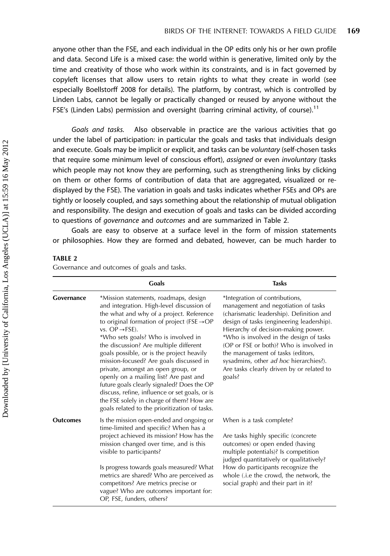anyone other than the FSE, and each individual in the OP edits only his or her own profile and data. Second Life is a mixed case: the world within is generative, limited only by the time and creativity of those who work within its constraints, and is in fact governed by copyleft licenses that allow users to retain rights to what they create in world (see especially Boellstorff 2008 for details). The platform, by contrast, which is controlled by Linden Labs, cannot be legally or practically changed or reused by anyone without the FSE's (Linden Labs) permission and oversight (barring criminal activity, of course).<sup>11</sup>

Goals and tasks. Also observable in practice are the various activities that go under the label of participation: in particular the goals and tasks that individuals design and execute. Goals may be implicit or explicit, and tasks can be voluntary (self-chosen tasks that require some minimum level of conscious effort), assigned or even involuntary (tasks which people may not know they are performing, such as strengthening links by clicking on them or other forms of contribution of data that are aggregated, visualized or redisplayed by the FSE). The variation in goals and tasks indicates whether FSEs and OPs are tightly or loosely coupled, and says something about the relationship of mutual obligation and responsibility. The design and execution of goals and tasks can be divided according to questions of governance and outcomes and are summarized in Table 2.

Goals are easy to observe at a surface level in the form of mission statements or philosophies. How they are formed and debated, however, can be much harder to

#### TABLE 2

Governance and outcomes of goals and tasks.

|                 | Goals                                                                                                                                                                                                                                                                                                                                                                                                                                                                                                                                                                                                                                                                          | <b>Tasks</b>                                                                                                                                                                                                                                                                                                                                                                                                                      |  |  |
|-----------------|--------------------------------------------------------------------------------------------------------------------------------------------------------------------------------------------------------------------------------------------------------------------------------------------------------------------------------------------------------------------------------------------------------------------------------------------------------------------------------------------------------------------------------------------------------------------------------------------------------------------------------------------------------------------------------|-----------------------------------------------------------------------------------------------------------------------------------------------------------------------------------------------------------------------------------------------------------------------------------------------------------------------------------------------------------------------------------------------------------------------------------|--|--|
| Governance      | *Mission statements, roadmaps, design<br>and integration. High-level discussion of<br>the what and why of a project. Reference<br>to original formation of project (FSE $\rightarrow$ OP<br>vs. $OP \rightarrow FSE$ ).<br>*Who sets goals? Who is involved in<br>the discussion? Are multiple different<br>goals possible, or is the project heavily<br>mission-focused? Are goals discussed in<br>private, amongst an open group, or<br>openly on a mailing list? Are past and<br>future goals clearly signaled? Does the OP<br>discuss, refine, influence or set goals, or is<br>the FSE solely in charge of them? How are<br>goals related to the prioritization of tasks. | *Integration of contributions,<br>management and negotiation of tasks<br>(charismatic leadership). Definition and<br>design of tasks (engineering leadership).<br>Hierarchy of decision-making power.<br>*Who is involved in the design of tasks<br>(OP or FSE or both)? Who is involved in<br>the management of tasks (editors,<br>sysadmins, other ad hoc hierarchies?).<br>Are tasks clearly driven by or related to<br>goals? |  |  |
| <b>Outcomes</b> | Is the mission open-ended and ongoing or<br>time-limited and specific? When has a<br>project achieved its mission? How has the<br>mission changed over time, and is this<br>visible to participants?<br>Is progress towards goals measured? What<br>metrics are shared? Who are perceived as<br>competitors? Are metrics precise or<br>vague? Who are outcomes important for:<br>OP, FSE, funders, others?                                                                                                                                                                                                                                                                     | When is a task complete?<br>Are tasks highly specific (concrete<br>outcomes) or open ended (having<br>multiple potentials)? Is competition<br>judged quantitatively or qualitatively?<br>How do participants recognize the<br>whole (.i.e the crowd, the network, the<br>social graph) and their part in it?                                                                                                                      |  |  |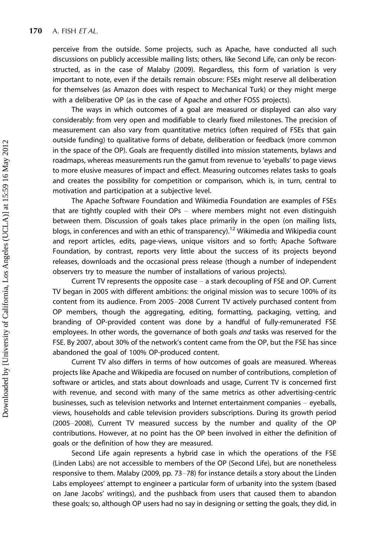perceive from the outside. Some projects, such as Apache, have conducted all such discussions on publicly accessible mailing lists; others, like Second Life, can only be reconstructed, as in the case of Malaby (2009). Regardless, this form of variation is very important to note, even if the details remain obscure: FSEs might reserve all deliberation for themselves (as Amazon does with respect to Mechanical Turk) or they might merge with a deliberative OP (as in the case of Apache and other FOSS projects).

The ways in which outcomes of a goal are measured or displayed can also vary considerably: from very open and modifiable to clearly fixed milestones. The precision of measurement can also vary from quantitative metrics (often required of FSEs that gain outside funding) to qualitative forms of debate, deliberation or feedback (more common in the space of the OP). Goals are frequently distilled into mission statements, bylaws and roadmaps, whereas measurements run the gamut from revenue to 'eyeballs' to page views to more elusive measures of impact and effect. Measuring outcomes relates tasks to goals and creates the possibility for competition or comparison, which is, in turn, central to motivation and participation at a subjective level.

The Apache Software Foundation and Wikimedia Foundation are examples of FSEs that are tightly coupled with their  $OPs$  – where members might not even distinguish between them. Discussion of goals takes place primarily in the open (on mailing lists, blogs, in conferences and with an ethic of transparency).<sup>12</sup> Wikimedia and Wikipedia count and report articles, edits, page-views, unique visitors and so forth; Apache Software Foundation, by contrast, reports very little about the success of its projects beyond releases, downloads and the occasional press release (though a number of independent observers try to measure the number of installations of various projects).

Current TV represents the opposite case  $-$  a stark decoupling of FSE and OP. Current TV began in 2005 with different ambitions: the original mission was to secure 100% of its content from its audience. From 2005-2008 Current TV actively purchased content from OP members, though the aggregating, editing, formatting, packaging, vetting, and branding of OP-provided content was done by a handful of fully-remunerated FSE employees. In other words, the governance of both goals and tasks was reserved for the FSE. By 2007, about 30% of the network's content came from the OP, but the FSE has since abandoned the goal of 100% OP-produced content.

Current TV also differs in terms of how outcomes of goals are measured. Whereas projects like Apache and Wikipedia are focused on number of contributions, completion of software or articles, and stats about downloads and usage, Current TV is concerned first with revenue, and second with many of the same metrics as other advertising-centric businesses, such as television networks and Internet entertainment companies - eyeballs, views, households and cable television providers subscriptions. During its growth period (2005-2008), Current TV measured success by the number and quality of the OP contributions. However, at no point has the OP been involved in either the definition of goals or the definition of how they are measured.

Second Life again represents a hybrid case in which the operations of the FSE (Linden Labs) are not accessible to members of the OP (Second Life), but are nonetheless responsive to them. Malaby (2009, pp. 73-78) for instance details a story about the Linden Labs employees' attempt to engineer a particular form of urbanity into the system (based on Jane Jacobs' writings), and the pushback from users that caused them to abandon these goals; so, although OP users had no say in designing or setting the goals, they did, in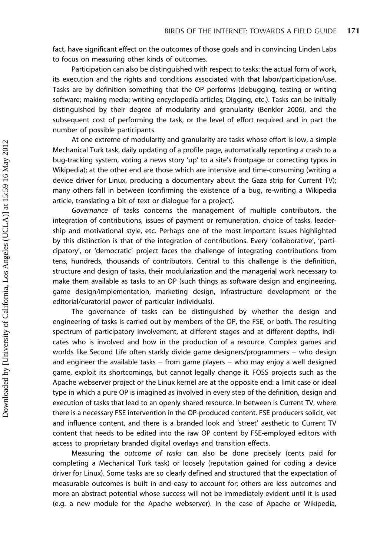fact, have significant effect on the outcomes of those goals and in convincing Linden Labs to focus on measuring other kinds of outcomes.

Participation can also be distinguished with respect to tasks: the actual form of work, its execution and the rights and conditions associated with that labor/participation/use. Tasks are by definition something that the OP performs (debugging, testing or writing software; making media; writing encyclopedia articles; Digging, etc.). Tasks can be initially distinguished by their degree of modularity and granularity (Benkler 2006), and the subsequent cost of performing the task, or the level of effort required and in part the number of possible participants.

At one extreme of modularity and granularity are tasks whose effort is low, a simple Mechanical Turk task, daily updating of a profile page, automatically reporting a crash to a bug-tracking system, voting a news story 'up' to a site's frontpage or correcting typos in Wikipedia); at the other end are those which are intensive and time-consuming (writing a device driver for Linux, producing a documentary about the Gaza strip for Current TV); many others fall in between (confirming the existence of a bug, re-writing a Wikipedia article, translating a bit of text or dialogue for a project).

Governance of tasks concerns the management of multiple contributors, the integration of contributions, issues of payment or remuneration, choice of tasks, leadership and motivational style, etc. Perhaps one of the most important issues highlighted by this distinction is that of the integration of contributions. Every 'collaborative', 'participatory', or 'democratic' project faces the challenge of integrating contributions from tens, hundreds, thousands of contributors. Central to this challenge is the definition, structure and design of tasks, their modularization and the managerial work necessary to make them available as tasks to an OP (such things as software design and engineering, game design/implementation, marketing design, infrastructure development or the editorial/curatorial power of particular individuals).

The governance of tasks can be distinguished by whether the design and engineering of tasks is carried out by members of the OP, the FSE, or both. The resulting spectrum of participatory involvement, at different stages and at different depths, indicates who is involved and how in the production of a resource. Complex games and worlds like Second Life often starkly divide game designers/programmers  $-$  who design and engineer the available tasks  $-$  from game players  $-$  who may enjoy a well designed game, exploit its shortcomings, but cannot legally change it. FOSS projects such as the Apache webserver project or the Linux kernel are at the opposite end: a limit case or ideal type in which a pure OP is imagined as involved in every step of the definition, design and execution of tasks that lead to an openly shared resource. In between is Current TV, where there is a necessary FSE intervention in the OP-produced content. FSE producers solicit, vet and influence content, and there is a branded look and 'street' aesthetic to Current TV content that needs to be edited into the raw OP content by FSE-employed editors with access to proprietary branded digital overlays and transition effects.

Measuring the outcome of tasks can also be done precisely (cents paid for completing a Mechanical Turk task) or loosely (reputation gained for coding a device driver for Linux). Some tasks are so clearly defined and structured that the expectation of measurable outcomes is built in and easy to account for; others are less outcomes and more an abstract potential whose success will not be immediately evident until it is used (e.g. a new module for the Apache webserver). In the case of Apache or Wikipedia,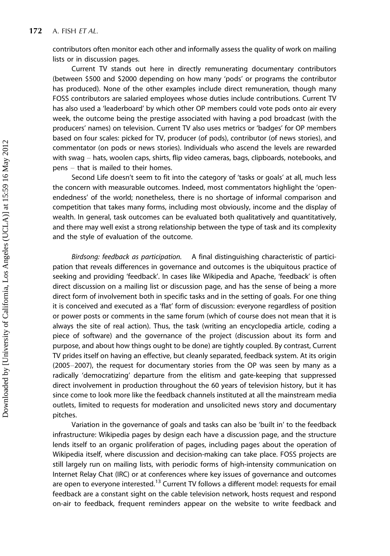contributors often monitor each other and informally assess the quality of work on mailing lists or in discussion pages.

Current TV stands out here in directly remunerating documentary contributors (between \$500 and \$2000 depending on how many 'pods' or programs the contributor has produced). None of the other examples include direct remuneration, though many FOSS contributors are salaried employees whose duties include contributions. Current TV has also used a 'leaderboard' by which other OP members could vote pods onto air every week, the outcome being the prestige associated with having a pod broadcast (with the producers' names) on television. Current TV also uses metrics or 'badges' for OP members based on four scales: picked for TV, producer (of pods), contributor (of news stories), and commentator (on pods or news stories). Individuals who ascend the levels are rewarded with swag – hats, woolen caps, shirts, flip video cameras, bags, clipboards, notebooks, and  $pens - that$  is mailed to their homes.

Second Life doesn't seem to fit into the category of 'tasks or goals' at all, much less the concern with measurable outcomes. Indeed, most commentators highlight the 'openendedness' of the world; nonetheless, there is no shortage of informal comparison and competition that takes many forms, including most obviously, income and the display of wealth. In general, task outcomes can be evaluated both qualitatively and quantitatively, and there may well exist a strong relationship between the type of task and its complexity and the style of evaluation of the outcome.

Birdsong: feedback as participation. A final distinguishing characteristic of participation that reveals differences in governance and outcomes is the ubiquitous practice of seeking and providing 'feedback'. In cases like Wikipedia and Apache, 'feedback' is often direct discussion on a mailing list or discussion page, and has the sense of being a more direct form of involvement both in specific tasks and in the setting of goals. For one thing it is conceived and executed as a 'flat' form of discussion: everyone regardless of position or power posts or comments in the same forum (which of course does not mean that it is always the site of real action). Thus, the task (writing an encyclopedia article, coding a piece of software) and the governance of the project (discussion about its form and purpose, and about how things ought to be done) are tightly coupled. By contrast, Current TV prides itself on having an effective, but cleanly separated, feedback system. At its origin  $(2005-2007)$ , the request for documentary stories from the OP was seen by many as a radically 'democratizing' departure from the elitism and gate-keeping that suppressed direct involvement in production throughout the 60 years of television history, but it has since come to look more like the feedback channels instituted at all the mainstream media outlets, limited to requests for moderation and unsolicited news story and documentary pitches.

Variation in the governance of goals and tasks can also be 'built in' to the feedback infrastructure: Wikipedia pages by design each have a discussion page, and the structure lends itself to an organic proliferation of pages, including pages about the operation of Wikipedia itself, where discussion and decision-making can take place. FOSS projects are still largely run on mailing lists, with periodic forms of high-intensity communication on Internet Relay Chat (IRC) or at conferences where key issues of governance and outcomes are open to everyone interested.<sup>13</sup> Current TV follows a different model: requests for email feedback are a constant sight on the cable television network, hosts request and respond on-air to feedback, frequent reminders appear on the website to write feedback and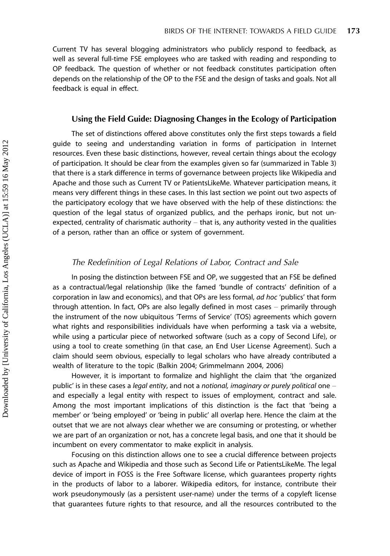Current TV has several blogging administrators who publicly respond to feedback, as well as several full-time FSE employees who are tasked with reading and responding to OP feedback. The question of whether or not feedback constitutes participation often depends on the relationship of the OP to the FSE and the design of tasks and goals. Not all feedback is equal in effect.

#### Using the Field Guide: Diagnosing Changes in the Ecology of Participation

The set of distinctions offered above constitutes only the first steps towards a field guide to seeing and understanding variation in forms of participation in Internet resources. Even these basic distinctions, however, reveal certain things about the ecology of participation. It should be clear from the examples given so far (summarized in Table 3) that there is a stark difference in terms of governance between projects like Wikipedia and Apache and those such as Current TV or PatientsLikeMe. Whatever participation means, it means very different things in these cases. In this last section we point out two aspects of the participatory ecology that we have observed with the help of these distinctions: the question of the legal status of organized publics, and the perhaps ironic, but not unexpected, centrality of charismatic authority  $-$  that is, any authority vested in the qualities of a person, rather than an office or system of government.

## The Redefinition of Legal Relations of Labor, Contract and Sale

In posing the distinction between FSE and OP, we suggested that an FSE be defined as a contractual/legal relationship (like the famed 'bundle of contracts' definition of a corporation in law and economics), and that OPs are less formal, ad hoc 'publics' that form through attention. In fact, OPs are also legally defined in most cases  $-$  primarily through the instrument of the now ubiquitous 'Terms of Service' (TOS) agreements which govern what rights and responsibilities individuals have when performing a task via a website, while using a particular piece of networked software (such as a copy of Second Life), or using a tool to create something (in that case, an End User License Agreement). Such a claim should seem obvious, especially to legal scholars who have already contributed a wealth of literature to the topic (Balkin 2004; Grimmelmann 2004, 2006)

However, it is important to formalize and highlight the claim that 'the organized public' is in these cases a legal entity, and not a notional, imaginary or purely political one  $$ and especially a legal entity with respect to issues of employment, contract and sale. Among the most important implications of this distinction is the fact that 'being a member' or 'being employed' or 'being in public' all overlap here. Hence the claim at the outset that we are not always clear whether we are consuming or protesting, or whether we are part of an organization or not, has a concrete legal basis, and one that it should be incumbent on every commentator to make explicit in analysis.

Focusing on this distinction allows one to see a crucial difference between projects such as Apache and Wikipedia and those such as Second Life or PatientsLikeMe. The legal device of import in FOSS is the Free Software license, which guarantees property rights in the products of labor to a laborer. Wikipedia editors, for instance, contribute their work pseudonymously (as a persistent user-name) under the terms of a copyleft license that guarantees future rights to that resource, and all the resources contributed to the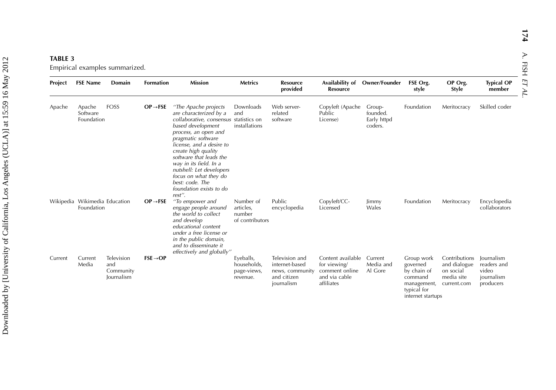| <b>TABLE 3</b>                 |  |
|--------------------------------|--|
| Empirical examples summarized. |  |

| Project | <b>FSE Name</b>                             | Domain                                       | <b>Formation</b>     | <b>Mission</b>                                                                                                                                                                                                                                                                                                                                                                   | <b>Metrics</b>                                      | <b>Resource</b><br>provided                                                      | Availability of Owner/Founder<br><b>Resource</b>                                   |                                              | FSE Org.<br>style                                                                                   | OP Org.<br>Style                                                        | <b>Typical OP</b><br>member                                   |
|---------|---------------------------------------------|----------------------------------------------|----------------------|----------------------------------------------------------------------------------------------------------------------------------------------------------------------------------------------------------------------------------------------------------------------------------------------------------------------------------------------------------------------------------|-----------------------------------------------------|----------------------------------------------------------------------------------|------------------------------------------------------------------------------------|----------------------------------------------|-----------------------------------------------------------------------------------------------------|-------------------------------------------------------------------------|---------------------------------------------------------------|
| Apache  | Apache<br>Software<br>Foundation            | <b>FOSS</b>                                  | $OP \rightarrow FSE$ | "The Apache projects<br>are characterized by a<br>collaborative, consensus statistics on<br>based development<br>process, an open and<br>pragmatic software<br>license, and a desire to<br>create high quality<br>software that leads the<br>way in its field. In a<br>nutshell: Let developers<br>focus on what they do<br>best: code. The<br>foundation exists to do<br>rest". | Downloads<br>and<br>installations                   | Web server-<br>related<br>software                                               | Copyleft (Apache<br>Public<br>License)                                             | Group-<br>founded.<br>Early httpd<br>coders. | Foundation                                                                                          | Meritocracy                                                             | Skilled coder                                                 |
|         | Wikipedia Wikimedia Education<br>Foundation |                                              | $OP \rightarrow FSE$ | "To empower and<br>engage people around<br>the world to collect<br>and develop<br>educational content<br>under a free license or<br>in the public domain,<br>and to disseminate it<br>effectively and globally"                                                                                                                                                                  | Number of<br>articles,<br>number<br>of contributors | Public<br>encyclopedia                                                           | Copyleft/CC-<br>Licensed                                                           | Jimmy<br>Wales                               | Foundation                                                                                          | Meritocracy                                                             | Encyclopedia<br>collaborators                                 |
| Current | Current<br>Media                            | Television<br>and<br>Community<br>Journalism | $FSE \rightarrow OP$ |                                                                                                                                                                                                                                                                                                                                                                                  | Eyeballs,<br>households,<br>page-views,<br>revenue. | Television and<br>internet-based<br>news, community<br>and citizen<br>journalism | Content available<br>for viewing/<br>comment online<br>and via cable<br>affiliates | Current<br>Media and<br>Al Gore              | Group work<br>governed<br>by chain of<br>command<br>management,<br>typical for<br>internet startups | Contributions<br>and dialogue<br>on social<br>media site<br>current.com | lournalism<br>readers and<br>video<br>journalism<br>producers |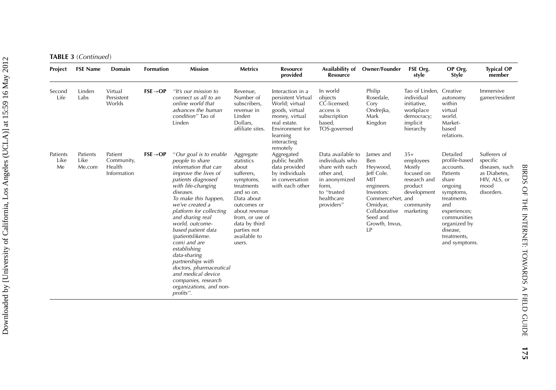**TABLE 3** (Continued)

| Project                | <b>FSE Name</b>            | Domain                                         | <b>Formation</b>     | <b>Mission</b>                                                                                                                                                                                                                                                                                                                                                                                                                                                                                 | <b>Metrics</b>                                                                                                                                                                                                     | <b>Resource</b><br>provided                                                                                                                                            | Availability of<br><b>Resource</b>                                                                                                         | <b>Owner/Founder</b>                                                                                                                                           | FSE Org.<br>style                                                                                                     | OP Org.<br><b>Style</b>                                                                                                                                                                             | <b>Typical OP</b><br>member                                                                      |
|------------------------|----------------------------|------------------------------------------------|----------------------|------------------------------------------------------------------------------------------------------------------------------------------------------------------------------------------------------------------------------------------------------------------------------------------------------------------------------------------------------------------------------------------------------------------------------------------------------------------------------------------------|--------------------------------------------------------------------------------------------------------------------------------------------------------------------------------------------------------------------|------------------------------------------------------------------------------------------------------------------------------------------------------------------------|--------------------------------------------------------------------------------------------------------------------------------------------|----------------------------------------------------------------------------------------------------------------------------------------------------------------|-----------------------------------------------------------------------------------------------------------------------|-----------------------------------------------------------------------------------------------------------------------------------------------------------------------------------------------------|--------------------------------------------------------------------------------------------------|
| Second<br>Life         | Linden<br>Labs             | Virtual<br>Persistent<br>Worlds                | $FSE \rightarrow OP$ | "It's our mission to<br>connect us all to an<br>online world that<br>advances the human<br>condition" Tao of<br>Linden                                                                                                                                                                                                                                                                                                                                                                         | Revenue,<br>Number of<br>subscribers,<br>revenue in<br>Linden<br>Dollars,<br>affiliate sites.                                                                                                                      | Interaction in a<br>persistent Virtual<br>World; virtual<br>goods, virtual<br>money, virtual<br>real estate.<br>Environment for<br>learning<br>interacting<br>remotely | In world<br>objects<br>CC-licensed;<br>access is<br>subscription<br>based,<br>TOS-governed                                                 | Philip<br>Rosedale,<br>Cory<br>Ondrejka,<br>Mark<br>Kingdon                                                                                                    | Tao of Linden, Creative<br>individual<br>initiative,<br>workplace<br>democracy;<br>implicit<br>hierarchy              | autonomy<br>within<br>virtual<br>world.<br>Market-<br>based<br>relations.                                                                                                                           | Immersive<br>gamer/resident                                                                      |
| Patients<br>Like<br>Me | Patients<br>Like<br>Me.com | Patient<br>Community,<br>Health<br>Information | $FSE \rightarrow OP$ | "Our goal is to enable<br>people to share<br>information that can<br>improve the lives of<br>patients diagnosed<br>with life-changing<br>diseases.<br>To make this happen,<br>we've created a<br>platform for collecting<br>and sharing real<br>world, outcome-<br>based patient data<br>(patientslikeme.<br>com) and are<br>establishing<br>data-sharing<br>partnerships with<br>doctors, pharmaceutical<br>and medical device<br>companies, research<br>organizations, and non-<br>profits". | Aggregate<br>statistics<br>about<br>sufferers,<br>symptoms,<br>treatments<br>and so on.<br>Data about<br>outcomes or<br>about revenue<br>from, or use of<br>data by third<br>parties not<br>available to<br>users. | Aggregated<br>public health<br>data provided<br>by individuals<br>in conversation<br>with each other                                                                   | Data available to<br>individuals who<br>share with each<br>other and,<br>in anonymized<br>form,<br>to "trusted<br>healthcare<br>providers" | James and<br>Ben<br>Heywood,<br>Jeff Cole.<br>MIT<br>engineers.<br>Investors:<br>CommerceNet.<br>Omidyar,<br>Collaborative<br>Seed and<br>Growth, Invus,<br>IP | $35+$<br>employees<br>Mostly<br>focused on<br>research and<br>product<br>development<br>and<br>community<br>marketing | Detailed<br>profile-based<br>accounts.<br>Patients<br>share<br>ongoing<br>symptoms,<br>treatments<br>and<br>experiences;<br>communities<br>organized by<br>disease,<br>treatments,<br>and symptoms. | Sufferers of<br>specific<br>diseases, such<br>as Diabetes,<br>HIV, ALS, or<br>mood<br>disorders. |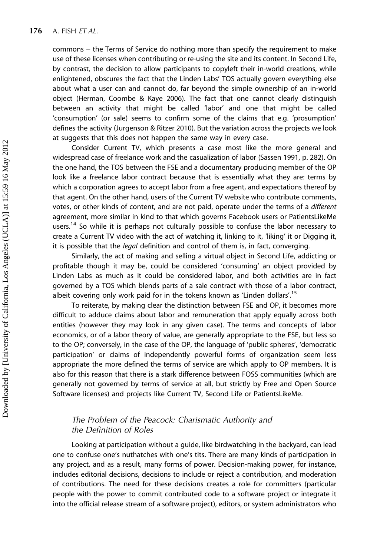commons - the Terms of Service do nothing more than specify the requirement to make use of these licenses when contributing or re-using the site and its content. In Second Life, by contrast, the decision to allow participants to copyleft their in-world creations, while enlightened, obscures the fact that the Linden Labs' TOS actually govern everything else about what a user can and cannot do, far beyond the simple ownership of an in-world object (Herman, Coombe & Kaye 2006). The fact that one cannot clearly distinguish between an activity that might be called 'labor' and one that might be called 'consumption' (or sale) seems to confirm some of the claims that e.g. 'prosumption' defines the activity (Jurgenson & Ritzer 2010). But the variation across the projects we look at suggests that this does not happen the same way in every case.

Consider Current TV, which presents a case most like the more general and widespread case of freelance work and the casualization of labor (Sassen 1991, p. 282). On the one hand, the TOS between the FSE and a documentary producing member of the OP look like a freelance labor contract because that is essentially what they are: terms by which a corporation agrees to accept labor from a free agent, and expectations thereof by that agent. On the other hand, users of the Current TV website who contribute comments, votes, or other kinds of content, and are not paid, operate under the terms of a different agreement, more similar in kind to that which governs Facebook users or PatientsLikeMe users.<sup>14</sup> So while it is perhaps not culturally possible to confuse the labor necessary to create a Current TV video with the act of watching it, linking to it, 'liking' it or Digging it, it is possible that the *legal* definition and control of them is, in fact, converging.

Similarly, the act of making and selling a virtual object in Second Life, addicting or profitable though it may be, could be considered 'consuming' an object provided by Linden Labs as much as it could be considered labor, and both activities are in fact governed by a TOS which blends parts of a sale contract with those of a labor contract, albeit covering only work paid for in the tokens known as 'Linden dollars'.<sup>15</sup>

To reiterate, by making clear the distinction between FSE and OP, it becomes more difficult to adduce claims about labor and remuneration that apply equally across both entities (however they may look in any given case). The terms and concepts of labor economics, or of a labor theory of value, are generally appropriate to the FSE, but less so to the OP; conversely, in the case of the OP, the language of 'public spheres', 'democratic participation' or claims of independently powerful forms of organization seem less appropriate the more defined the terms of service are which apply to OP members. It is also for this reason that there is a stark difference between FOSS communities (which are generally not governed by terms of service at all, but strictly by Free and Open Source Software licenses) and projects like Current TV, Second Life or PatientsLikeMe.

## The Problem of the Peacock: Charismatic Authority and the Definition of Roles

Looking at participation without a guide, like birdwatching in the backyard, can lead one to confuse one's nuthatches with one's tits. There are many kinds of participation in any project, and as a result, many forms of power. Decision-making power, for instance, includes editorial decisions, decisions to include or reject a contribution, and moderation of contributions. The need for these decisions creates a role for committers (particular people with the power to commit contributed code to a software project or integrate it into the official release stream of a software project), editors, or system administrators who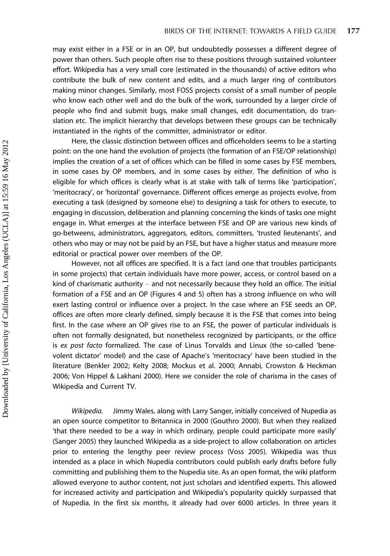may exist either in a FSE or in an OP, but undoubtedly possesses a different degree of power than others. Such people often rise to these positions through sustained volunteer effort. Wikipedia has a very small core (estimated in the thousands) of active editors who contribute the bulk of new content and edits, and a much larger ring of contributors making minor changes. Similarly, most FOSS projects consist of a small number of people who know each other well and do the bulk of the work, surrounded by a larger circle of people who find and submit bugs, make small changes, edit documentation, do translation etc. The implicit hierarchy that develops between these groups can be technically instantiated in the rights of the committer, administrator or editor.

Here, the classic distinction between offices and officeholders seems to be a starting point: on the one hand the evolution of projects (the formation of an FSE/OP relationship) implies the creation of a set of offices which can be filled in some cases by FSE members, in some cases by OP members, and in some cases by either. The definition of who is eligible for which offices is clearly what is at stake with talk of terms like 'participation', 'meritocracy', or 'horizontal' governance. Different offices emerge as projects evolve, from executing a task (designed by someone else) to designing a task for others to execute, to engaging in discussion, deliberation and planning concerning the kinds of tasks one might engage in. What emerges at the interface between FSE and OP are various new kinds of go-betweens, administrators, aggregators, editors, committers, 'trusted lieutenants', and others who may or may not be paid by an FSE, but have a higher status and measure more editorial or practical power over members of the OP.

However, not all offices are specified. It is a fact (and one that troubles participants in some projects) that certain individuals have more power, access, or control based on a kind of charismatic authority  $-$  and not necessarily because they hold an office. The initial formation of a FSE and an OP (Figures 4 and 5) often has a strong influence on who will exert lasting control or influence over a project. In the case where an FSE seeds an OP, offices are often more clearly defined, simply because it is the FSE that comes into being first. In the case where an OP gives rise to an FSE, the power of particular individuals is often not formally designated, but nonetheless recognized by participants, or the office is ex post facto formalized. The case of Linus Torvalds and Linux (the so-called 'benevolent dictator' model) and the case of Apache's 'meritocracy' have been studied in the literature (Benkler 2002; Kelty 2008; Mockus et al. 2000; Annabi, Crowston & Heckman 2006; Von Hippel & Lakhani 2000). Here we consider the role of charisma in the cases of Wikipedia and Current TV.

Wikipedia. Jimmy Wales, along with Larry Sanger, initially conceived of Nupedia as an open source competitor to Britannica in 2000 (Gouthro 2000). But when they realized 'that there needed to be a way in which ordinary, people could participate more easily' (Sanger 2005) they launched Wikipedia as a side-project to allow collaboration on articles prior to entering the lengthy peer review process (Voss 2005). Wikipedia was thus intended as a place in which Nupedia contributors could publish early drafts before fully committing and publishing them to the Nupedia site. As an open format, the wiki platform allowed everyone to author content, not just scholars and identified experts. This allowed for increased activity and participation and Wikipedia's popularity quickly surpassed that of Nupedia. In the first six months, it already had over 6000 articles. In three years it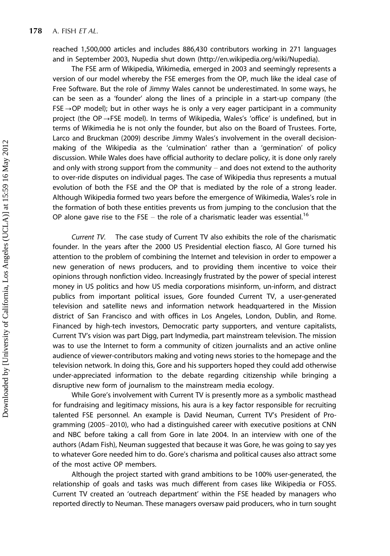reached 1,500,000 articles and includes 886,430 contributors working in 271 languages and in September 2003, Nupedia shut down (<http://en.wikipedia.org/wiki/Nupedia>).

The FSE arm of Wikipedia, Wikimedia, emerged in 2003 and seemingly represents a version of our model whereby the FSE emerges from the OP, much like the ideal case of Free Software. But the role of Jimmy Wales cannot be underestimated. In some ways, he can be seen as a 'founder' along the lines of a principle in a start-up company (the  $FSE \rightarrow OP$  model); but in other ways he is only a very eager participant in a community project (the OP $\rightarrow$ FSE model). In terms of Wikipedia, Wales's 'office' is undefined, but in terms of Wikimedia he is not only the founder, but also on the Board of Trustees. Forte, Larco and Bruckman (2009) describe Jimmy Wales's involvement in the overall decisionmaking of the Wikipedia as the 'culmination' rather than a 'germination' of policy discussion. While Wales does have official authority to declare policy, it is done only rarely and only with strong support from the community  $-$  and does not extend to the authority to over-ride disputes on individual pages. The case of Wikipedia thus represents a mutual evolution of both the FSE and the OP that is mediated by the role of a strong leader. Although Wikipedia formed two years before the emergence of Wikimedia, Wales's role in the formation of both these entities prevents us from jumping to the conclusion that the OP alone gave rise to the FSE  $-$  the role of a charismatic leader was essential.<sup>16</sup>

Current TV. The case study of Current TV also exhibits the role of the charismatic founder. In the years after the 2000 US Presidential election fiasco, Al Gore turned his attention to the problem of combining the Internet and television in order to empower a new generation of news producers, and to providing them incentive to voice their opinions through nonfiction video. Increasingly frustrated by the power of special interest money in US politics and how US media corporations misinform, un-inform, and distract publics from important political issues, Gore founded Current TV, a user-generated television and satellite news and information network headquartered in the Mission district of San Francisco and with offices in Los Angeles, London, Dublin, and Rome. Financed by high-tech investors, Democratic party supporters, and venture capitalists, Current TV's vision was part Digg, part Indymedia, part mainstream television. The mission was to use the Internet to form a community of citizen journalists and an active online audience of viewer-contributors making and voting news stories to the homepage and the television network. In doing this, Gore and his supporters hoped they could add otherwise under-appreciated information to the debate regarding citizenship while bringing a disruptive new form of journalism to the mainstream media ecology.

While Gore's involvement with Current TV is presently more as a symbolic masthead for fundraising and legitimacy missions, his aura is a key factor responsible for recruiting talented FSE personnel. An example is David Neuman, Current TV's President of Programming (2005-2010), who had a distinguished career with executive positions at CNN and NBC before taking a call from Gore in late 2004. In an interview with one of the authors (Adam Fish), Neuman suggested that because it was Gore, he was going to say yes to whatever Gore needed him to do. Gore's charisma and political causes also attract some of the most active OP members.

Although the project started with grand ambitions to be 100% user-generated, the relationship of goals and tasks was much different from cases like Wikipedia or FOSS. Current TV created an 'outreach department' within the FSE headed by managers who reported directly to Neuman. These managers oversaw paid producers, who in turn sought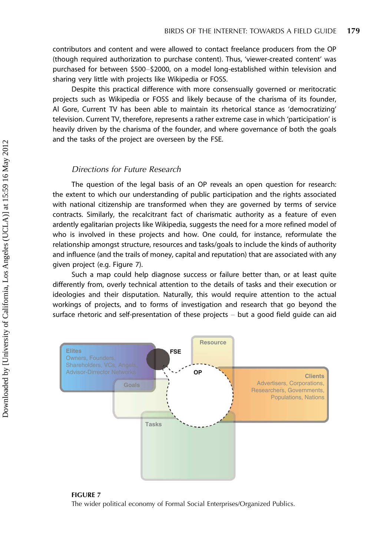contributors and content and were allowed to contact freelance producers from the OP (though required authorization to purchase content). Thus, 'viewer-created content' was purchased for between \$500-\$2000, on a model long-established within television and sharing very little with projects like Wikipedia or FOSS.

Despite this practical difference with more consensually governed or meritocratic projects such as Wikipedia or FOSS and likely because of the charisma of its founder, Al Gore, Current TV has been able to maintain its rhetorical stance as 'democratizing' television. Current TV, therefore, represents a rather extreme case in which 'participation' is heavily driven by the charisma of the founder, and where governance of both the goals and the tasks of the project are overseen by the FSE.

## Directions for Future Research

The question of the legal basis of an OP reveals an open question for research: the extent to which our understanding of public participation and the rights associated with national citizenship are transformed when they are governed by terms of service contracts. Similarly, the recalcitrant fact of charismatic authority as a feature of even ardently egalitarian projects like Wikipedia, suggests the need for a more refined model of who is involved in these projects and how. One could, for instance, reformulate the relationship amongst structure, resources and tasks/goals to include the kinds of authority and influence (and the trails of money, capital and reputation) that are associated with any given project (e.g. Figure 7).

Such a map could help diagnose success or failure better than, or at least quite differently from, overly technical attention to the details of tasks and their execution or ideologies and their disputation. Naturally, this would require attention to the actual workings of projects, and to forms of investigation and research that go beyond the surface rhetoric and self-presentation of these projects  $-$  but a good field guide can aid



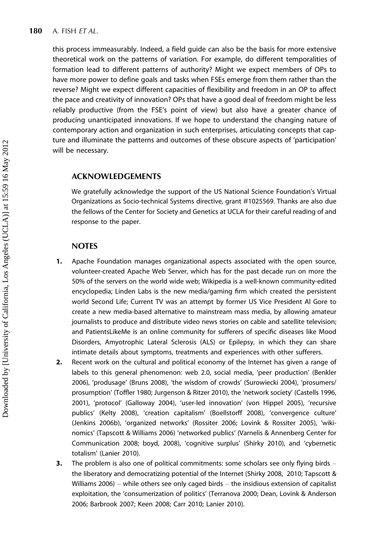this process immeasurably. Indeed, a field guide can also be the basis for more extensive theoretical work on the patterns of variation. For example, do different temporalities of formation lead to different patterns of authority? Might we expect members of OPs to have more power to define goals and tasks when FSEs emerge from them rather than the reverse? Might we expect different capacities of flexibility and freedom in an OP to affect the pace and creativity of innovation? OPs that have a good deal of freedom might be less reliably productive (from the FSE's point of view) but also have a greater chance of producing unanticipated innovations. If we hope to understand the changing nature of contemporary action and organization in such enterprises, articulating concepts that capture and illuminate the patterns and outcomes of these obscure aspects of 'participation' will be necessary.

## ACKNOWLEDGEMENTS

We gratefully acknowledge the support of the US National Science Foundation's Virtual Organizations as Socio-technical Systems directive, grant #1025569. Thanks are also due the fellows of the Center for Society and Genetics at UCLA for their careful reading of and response to the paper.

## **NOTES**

- 1. Apache Foundation manages organizational aspects associated with the open source, volunteer-created Apache Web Server, which has for the past decade run on more the 50% of the servers on the world wide web; Wikipedia is a well-known community-edited encyclopedia; Linden Labs is the new media/gaming firm which created the persistent world Second Life; Current TV was an attempt by former US Vice President Al Gore to create a new media-based alternative to mainstream mass media, by allowing amateur journalists to produce and distribute video news stories on cable and satellite television; and PatientsLikeMe is an online community for sufferers of specific diseases like Mood Disorders, Amyotrophic Lateral Sclerosis (ALS) or Epilepsy, in which they can share intimate details about symptoms, treatments and experiences with other sufferers.
- 2. Recent work on the cultural and political economy of the Internet has given a range of labels to this general phenomenon: web 2.0, social media, 'peer production' (Benkler 2006), 'produsage' (Bruns 2008), 'the wisdom of crowds' (Surowiecki 2004), 'prosumers/ prosumption' (Toffler 1980; Jurgenson & Ritzer 2010), the 'network society' (Castells 1996, 2001), 'protocol' (Galloway 2004), 'user-led innovation' (von Hippel 2005), 'recursive publics' (Kelty 2008), 'creation capitalism' (Boellstorff 2008), 'convergence culture' (Jenkins 2006b), 'organized networks' (Rossiter 2006; Lovink & Rossiter 2005), 'wikinomics' (Tapscott & Williams 2006) 'networked publics' (Varnelis & Annenberg Center for Communication 2008; boyd, 2008), 'cognitive surplus' (Shirky 2010), and 'cybernetic totalism' (Lanier 2010).
- **3.** The problem is also one of political commitments: some scholars see only flying birds  $$ the liberatory and democratizing potential of the Internet (Shirky 2008, 2010; Tapscott & Williams 2006) – while others see only caged birds  $-$  the insidious extension of capitalist exploitation, the 'consumerization of politics' (Terranova 2000; Dean, Lovink & Anderson 2006; Barbrook 2007; Keen 2008; Carr 2010; Lanier 2010).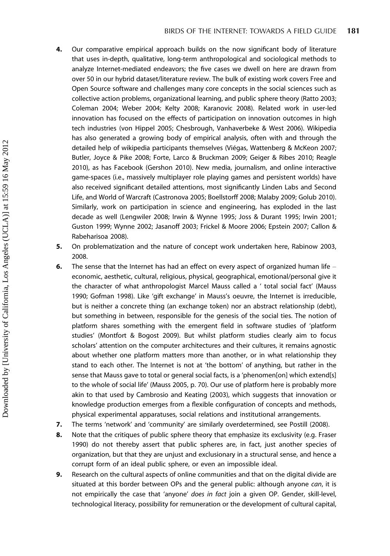- 4. Our comparative empirical approach builds on the now significant body of literature that uses in-depth, qualitative, long-term anthropological and sociological methods to analyze Internet-mediated endeavors; the five cases we dwell on here are drawn from over 50 in our hybrid dataset/literature review. The bulk of existing work covers Free and Open Source software and challenges many core concepts in the social sciences such as collective action problems, organizational learning, and public sphere theory (Ratto 2003; Coleman 2004; Weber 2004; Kelty 2008; Karanovic 2008). Related work in user-led innovation has focused on the effects of participation on innovation outcomes in high tech industries (von Hippel 2005; Chesbrough, Vanhaverbeke & West 2006). Wikipedia has also generated a growing body of empirical analysis, often with and through the detailed help of wikipedia participants themselves (Viégas, Wattenberg & McKeon 2007; Butler, Joyce & Pike 2008; Forte, Larco & Bruckman 2009; Geiger & Ribes 2010; Reagle 2010), as has Facebook (Gershon 2010). New media, journalism, and online interactive game-spaces (i.e., massively multiplayer role playing games and persistent worlds) have also received significant detailed attentions, most significantly Linden Labs and Second Life, and World of Warcraft (Castronova 2005; Boellstorff 2008; Malaby 2009; Golub 2010). Similarly, work on participation in science and engineering, has exploded in the last decade as well (Lengwiler 2008; Irwin & Wynne 1995; Joss & Durant 1995; Irwin 2001; Guston 1999; Wynne 2002; Jasanoff 2003; Frickel & Moore 2006; Epstein 2007; Callon & Rabeharisoa 2008).
- 5. On problematization and the nature of concept work undertaken here, Rabinow 2003, 2008.
- 6. The sense that the Internet has had an effect on every aspect of organized human life  $$ economic, aesthetic, cultural, religious, physical, geographical, emotional/personal give it the character of what anthropologist Marcel Mauss called a ' total social fact' (Mauss 1990; Gofman 1998). Like 'gift exchange' in Mauss's oeuvre, the Internet is irreducible, but is neither a concrete thing (an exchange token) nor an abstract relationship (debt), but something in between, responsible for the genesis of the social ties. The notion of platform shares something with the emergent field in software studies of 'platform studies' (Montfort & Bogost 2009). But whilst platform studies clearly aim to focus scholars' attention on the computer architectures and their cultures, it remains agnostic about whether one platform matters more than another, or in what relationship they stand to each other. The Internet is not at 'the bottom' of anything, but rather in the sense that Mauss gave to total or general social facts, is a 'phenomen[on] which extend[s] to the whole of social life' (Mauss 2005, p. 70). Our use of platform here is probably more akin to that used by Cambrosio and Keating (2003), which suggests that innovation or knowledge production emerges from a flexible configuration of concepts and methods, physical experimental apparatuses, social relations and institutional arrangements.
- 7. The terms 'network' and 'community' are similarly overdetermined, see Postill (2008).
- 8. Note that the critiques of public sphere theory that emphasize its exclusivity (e.g. Fraser 1990) do not thereby assert that public spheres are, in fact, just another species of organization, but that they are unjust and exclusionary in a structural sense, and hence a corrupt form of an ideal public sphere, or even an impossible ideal.
- 9. Research on the cultural aspects of online communities and that on the digital divide are situated at this border between OPs and the general public: although anyone can, it is not empirically the case that 'anyone' does in fact join a given OP. Gender, skill-level, technological literacy, possibility for remuneration or the development of cultural capital,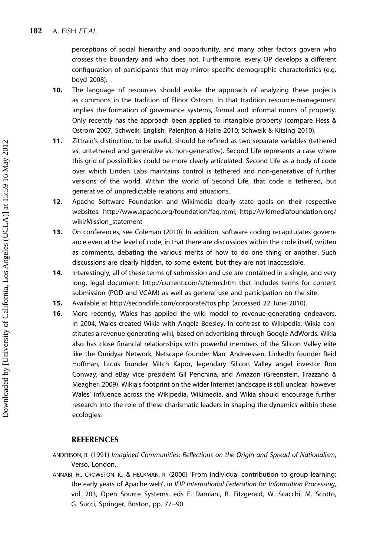perceptions of social hierarchy and opportunity, and many other factors govern who crosses this boundary and who does not. Furthermore, every OP develops a different configuration of participants that may mirror specific demographic characteristics (e.g. boyd 2008).

- 10. The language of resources should evoke the approach of analyzing these projects as commons in the tradition of Elinor Ostrom. In that tradition resource-management implies the formation of governance systems, formal and informal norms of property. Only recently has the approach been applied to intangible property (compare Hess & Ostrom 2007; Schweik, English, Paienjton & Haire 2010; Schweik & Kitsing 2010).
- 11. Zittrain's distinction, to be useful, should be refined as two separate variables (tethered vs. untethered and generative vs. non-generative). Second Life represents a case where this grid of possibilities could be more clearly articulated. Second Life as a body of code over which Linden Labs maintains control is tethered and non-generative of further versions of the world. Within the world of Second Life, that code is tethered, but generative of unpredictable relations and situations.
- 12. Apache Software Foundation and Wikimedia clearly state goals on their respective websites:<http://www.apache.org/foundation/faq.html>; [http://wikimediafoundation.org/](http://wikimediafoundation.org/wiki/Mission_statement) [wiki/Mission\\_statement](http://wikimediafoundation.org/wiki/Mission_statement)
- 13. On conferences, see Coleman (2010). In addition, software coding recapitulates governance even at the level of code, in that there are discussions within the code itself, written as comments, debating the various merits of how to do one thing or another. Such discussions are clearly hidden, to some extent, but they are not inaccessible.
- 14. Interestingly, all of these terms of submission and use are contained in a single, and very long, legal document:<http://current.com/s/terms.htm> that includes terms for content submission (POD and VCAM) as well as general use and participation on the site.
- 15. Available at<http://secondlife.com/corporate/tos.php> (accessed 22 June 2010).
- 16. More recently, Wales has applied the wiki model to revenue-generating endeavors. In 2004, Wales created Wikia with Angela Beesley. In contrast to Wikipedia, Wikia constitutes a revenue generating wiki, based on advertising through Google AdWords. Wikia also has close financial relationships with powerful members of the Silicon Valley elite like the Omidyar Network, Netscape founder Marc Andreessen, LinkedIn founder Reid Hoffman, Lotus founder Mitch Kapor, legendary Silicon Valley angel investor Ron Conway, and eBay vice president Gil Penchina, and Amazon (Greenstein, Frazzano & Meagher, 2009). Wikia's footprint on the wider Internet landscape is still unclear, however Wales' influence across the Wikipedia, Wikimedia, and Wikia should encourage further research into the role of these charismatic leaders in shaping the dynamics within these ecologies.

## **REFERENCES**

- ANDERSON, B. (1991) Imagined Communities: Reflections on the Origin and Spread of Nationalism, Verso, London.
- ANNABI, H., CROWSTON, K., & HECKMAN, R. (2006) 'From individual contribution to group learning: the early years of Apache web', in IFIP International Federation for Information Processing, vol. 203, Open Source Systems, eds E. Damiani, B. Fitzgerald, W. Scacchi, M. Scotto, G. Succi, Springer, Boston, pp. 77-90.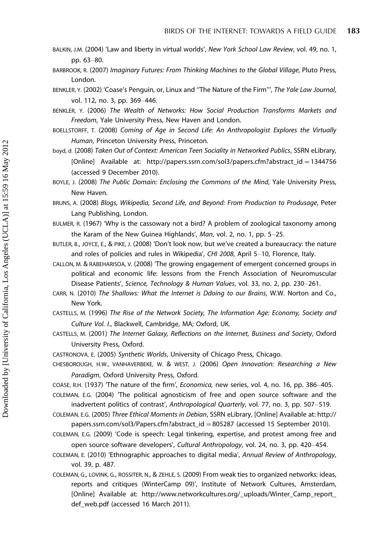BALKIN, J.M. (2004) 'Law and liberty in virtual worlds', New York School Law Review, vol. 49, no. 1, pp. 63-80.

BARBROOK, R. (2007) Imaginary Futures: From Thinking Machines to the Global Village, Pluto Press, London.

- BENKLER, Y. (2002) 'Coase's Penguin, or, Linux and ''The Nature of the Firm''', The Yale Law Journal, vol. 112, no. 3, pp. 369-446.
- BENKLER, Y. (2006) The Wealth of Networks: How Social Production Transforms Markets and Freedom, Yale University Press, New Haven and London.
- BOELLSTORFF, T. (2008) Coming of Age in Second Life: An Anthropologist Explores the Virtually Human, Princeton University Press, Princeton.

boyd, d. (2008) Taken Out of Context: American Teen Sociality in Networked Publics, SSRN eLibrary, [Online] Available at: [http://papers.ssrn.com/sol3/papers.cfm?abstract\\_id](http://papers.ssrn.com/sol3/papers.cfm?abstract_id=1344756)[-](http://papers.ssrn.com/sol3/papers.cfm?abstract_id=1344756)[1344756](http://papers.ssrn.com/sol3/papers.cfm?abstract_id=1344756) (accessed 9 December 2010).

- BOYLE, J. (2008) The Public Domain: Enclosing the Commons of the Mind, Yale University Press, New Haven.
- BRUNS, A. (2008) Blogs, Wikipedia, Second Life, and Beyond: From Production to Produsage, Peter Lang Publishing, London.
- BULMER, R. (1967) 'Why is the cassowary not a bird? A problem of zoological taxonomy among the Karam of the New Guinea Highlands', Man, vol. 2, no. 1, pp.  $5-25$ .
- BUTLER, B., JOYCE, E., & PIKE, J. (2008) 'Don't look now, but we've created a bureaucracy: the nature and roles of policies and rules in Wikipedia', CHI 2008, April 5-10, Florence, Italy.
- CALLON, M. & RABEHARISOA, V. (2008) 'The growing engagement of emergent concerned groups in political and economic life: lessons from the French Association of Neuromuscular Disease Patients', Science, Technology & Human Values, vol. 33, no. 2, pp. 230-261.
- CARR, N. (2010) The Shallows: What the Internet is Ddoing to our Brains, W.W. Norton and Co., New York.
- CASTELLS, M. (1996) The Rise of the Network Society, The Information Age: Economy, Society and Culture Vol. I., Blackwell, Cambridge, MA; Oxford, UK.
- CASTELLS, M. (2001) The Internet Galaxy, Reflections on the Internet, Business and Society, Oxford University Press, Oxford.
- CASTRONOVA, E. (2005) Synthetic Worlds, University of Chicago Press, Chicago.
- CHESBOROUGH, H.W., VANHAVERBEKE, W. & WEST, J. (2006) Open Innovation: Researching a New Paradigm, Oxford University Press, Oxford.

COASE, R.H. (1937) 'The nature of the firm', *Economica*, new series, vol. 4, no. 16, pp. 386-405. COLEMAN, E.G. (2004) 'The political agnosticism of free and open source software and the

inadvertent politics of contrast', Anthropological Quarterly, vol. 77, no. 3, pp. 507-519.

COLEMAN, E.G. (2005) Three Ethical Moments in Debian, SSRN eLibrary, [Online] Available at: [http://](http://papers.ssrn.com/sol3/Papers.cfm?abstract_id=805287) [papers.ssrn.com/sol3/Papers.cfm?abstract\\_id](http://papers.ssrn.com/sol3/Papers.cfm?abstract_id=805287)[-](http://papers.ssrn.com/sol3/Papers.cfm?abstract_id=805287)[805287](http://papers.ssrn.com/sol3/Papers.cfm?abstract_id=805287) (accessed 15 September 2010).

COLEMAN, E.G. (2009) 'Code is speech: Legal tinkering, expertise, and protest among free and open source software developers', Cultural Anthropology, vol. 24, no. 3, pp. 420-454.

- COLEMAN, E. (2010) 'Ethnographic approaches to digital media', Annual Review of Anthropology, vol. 39, p. 487.
- COLEMAN, G., LOVINK, G., ROSSITER, N., & ZEHLE, S. (2009) From weak ties to organized networks: ideas, reports and critiques (WinterCamp 09)', Institute of Network Cultures, Amsterdam, [Online] Available at: http://www.networkcultures.org/\_uploads/Winter\_Camp\_report\_ def web.pdf (accessed 16 March 2011).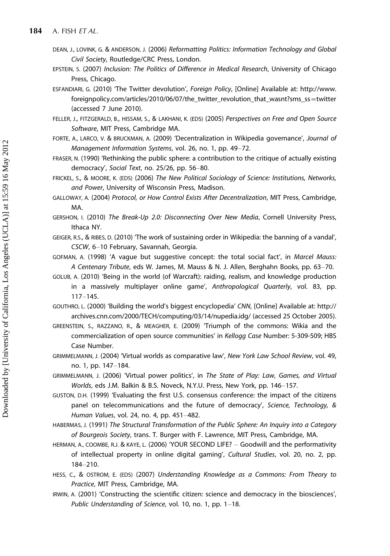- DEAN, J., LOVINK, G. & ANDERSON, J. (2006) Reformatting Politics: Information Technology and Global Civil Society, Routledge/CRC Press, London.
- EPSTEIN, S. (2007) Inclusion: The Politics of Difference in Medical Research, University of Chicago Press, Chicago.
- ESFANDIARI, G. (2010) 'The Twitter devolution', Foreign Policy, [Online] Available at: [http://www.](http://www.foreignpolicy.com/articles/2010/06/07/the_twitter_revolution_that_wasnt?sms_ss=twitter) [foreignpolicy.com/articles/2010/06/07/the\\_twitter\\_revolution\\_that\\_wasnt?sms\\_ss](http://www.foreignpolicy.com/articles/2010/06/07/the_twitter_revolution_that_wasnt?sms_ss=twitter)-[twitter](http://www.foreignpolicy.com/articles/2010/06/07/the_twitter_revolution_that_wasnt?sms_ss=twitter) (accessed 7 June 2010).
- FELLER, J., FITZGERALD, B., HISSAM, S., & LAKHANI, K. (EDS) (2005) Perspectives on Free and Open Source Software, MIT Press, Cambridge MA.
- FORTE, A., LARCO, V. & BRUCKMAN, A. (2009) 'Decentralization in Wikipedia governance', Journal of Management Information Systems, vol. 26, no. 1, pp. 49–72.
- FRASER, N. (1990) 'Rethinking the public sphere: a contribution to the critique of actually existing democracy', Social Text, no. 25/26, pp. 56-80.
- FRICKEL, S., & MOORE, K. (EDS) (2006) The New Political Sociology of Science: Institutions, Networks, and Power, University of Wisconsin Press, Madison.
- GALLOWAY, A. (2004) Protocol, or How Control Exists After Decentralization, MIT Press, Cambridge, MA.
- GERSHON, I. (2010) The Break-Up 2.0: Disconnecting Over New Media, Cornell University Press, Ithaca NY.
- GEIGER, R.S., & RIBES, D. (2010) 'The work of sustaining order in Wikipedia: the banning of a vandal', CSCW, 6-10 February, Savannah, Georgia.
- GOFMAN, A. (1998) 'A vague but suggestive concept: the total social fact', in Marcel Mauss: A Centenary Tribute, eds W. James, M. Mauss & N. J. Allen, Berghahn Books, pp. 63-70.
- GOLUB, A. (2010) 'Being in the world (of Warcraft): raiding, realism, and knowledge production in a massively multiplayer online game', Anthropological Quarterly, vol. 83, pp.  $117 - 145.$
- GOUTHRO, L. (2000) 'Building the world's biggest encyclopedia' CNN, [Online] Available at: [http://](http://archives.cnn.com/2000/TECH/computing/03/14/nupedia.idg/) [archives.cnn.com/2000/TECH/computing/03/14/nupedia.idg/](http://archives.cnn.com/2000/TECH/computing/03/14/nupedia.idg/) (accessed 25 October 2005).
- GREENSTEIN, S., RAZZANO, R., & MEAGHER, E. (2009) 'Triumph of the commons: Wikia and the commercialization of open source communities' in Kellogg Case Number: 5-309-509; HBS Case Number.
- GRIMMELMANN, J. (2004) 'Virtual worlds as comparative law', New York Law School Review, vol. 49, no. 1, pp. 147-184.
- GRIMMELMANN, J. (2006) 'Virtual power politics', in The State of Play: Law, Games, and Virtual Worlds, eds J.M. Balkin & B.S. Noveck, N.Y.U. Press, New York, pp. 146-157.
- GUSTON, D.H. (1999) 'Evaluating the first U.S. consensus conference: the impact of the citizens panel on telecommunications and the future of democracy', Science, Technology, & Human Values, vol. 24, no. 4, pp. 451-482.
- HABERMAS, J. (1991) The Structural Transformation of the Public Sphere: An Inquiry into a Category of Bourgeois Society, trans. T. Burger with F. Lawrence, MIT Press, Cambridge, MA.
- HERMAN, A., COOMBE, R.J. & KAYE, L. (2006) 'YOUR SECOND LIFE? Goodwill and the performativity of intellectual property in online digital gaming', Cultural Studies, vol. 20, no. 2, pp. 184-210.
- HESS, C., & OSTROM, E. (EDS) (2007) Understanding Knowledge as a Commons: From Theory to Practice, MIT Press, Cambridge, MA.
- IRWIN, A. (2001) 'Constructing the scientific citizen: science and democracy in the biosciences', Public Understanding of Science, vol. 10, no. 1, pp. 1-18.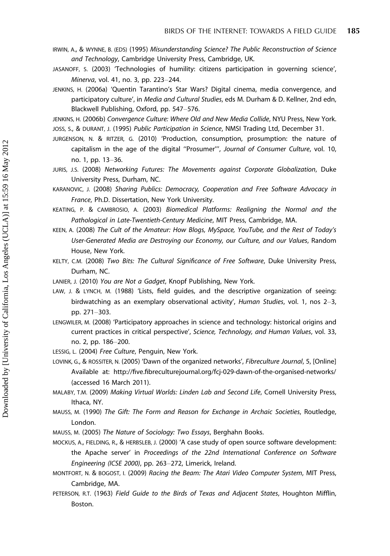- IRWIN, A., & WYNNE, B. (EDS) (1995) Misunderstanding Science? The Public Reconstruction of Science and Technology, Cambridge University Press, Cambridge, UK.
- JASANOFF, S. (2003) 'Technologies of humility: citizens participation in governing science', Minerva, vol. 41, no. 3, pp. 223-244.
- JENKINS, H. (2006a) 'Quentin Tarantino's Star Wars? Digital cinema, media convergence, and participatory culture', in Media and Cultural Studies, eds M. Durham & D. Kellner, 2nd edn, Blackwell Publishing, Oxford, pp. 547-576.
- JENKINS, H. (2006b) Convergence Culture: Where Old and New Media Collide, NYU Press, New York. JOSS, S., & DURANT, J. (1995) Public Participation in Science, NMSI Trading Ltd, December 31.
- JURGENSON, N. & RITZER, G. (2010) 'Production, consumption, prosumption: the nature of capitalism in the age of the digital ''Prosumer''', Journal of Consumer Culture, vol. 10, no. 1, pp. 13-36.
- JURIS, J.S. (2008) Networking Futures: The Movements against Corporate Globalization, Duke University Press, Durham, NC.
- KARANOVIC, J. (2008) Sharing Publics: Democracy, Cooperation and Free Software Advocacy in France, Ph.D. Dissertation, New York University.
- KEATING, P. & CAMBROSIO, A. (2003) Biomedical Platforms: Realigning the Normal and the Pathological in Late-Twentieth-Century Medicine, MIT Press, Cambridge, MA.
- KEEN, A. (2008) The Cult of the Amateur: How Blogs, MySpace, YouTube, and the Rest of Today's User-Generated Media are Destroying our Economy, our Culture, and our Values, Random House, New York.
- KELTY, C.M. (2008) Two Bits: The Cultural Significance of Free Software, Duke University Press, Durham, NC.
- LANIER, J. (2010) You are Not a Gadget, Knopf Publishing, New York.
- LAW, J. & LYNCH, M. (1988) 'Lists, field guides, and the descriptive organization of seeing: birdwatching as an exemplary observational activity', Human Studies, vol. 1, nos  $2-3$ , pp. 271-303.
- LENGWILER, M. (2008) 'Participatory approaches in science and technology: historical origins and current practices in critical perspective', Science, Technology, and Human Values, vol. 33, no. 2, pp. 186-200.
- LESSIG, L. (2004) Free Culture, Penguin, New York.
- LOVINK, G., & ROSSITER, N. (2005) 'Dawn of the organized networks', Fibreculture Journal, 5, [Online] Available at: http://five.fibreculturejournal.org/fcj-029-dawn-of-the-organised-networks/ (accessed 16 March 2011).
- MALABY, T.M. (2009) Making Virtual Worlds: Linden Lab and Second Life, Cornell University Press, Ithaca, NY.
- MAUSS, M. (1990) The Gift: The Form and Reason for Exchange in Archaic Societies, Routledge, London.
- MAUSS, M. (2005) The Nature of Sociology: Two Essays, Berghahn Books.
- MOCKUS, A., FIELDING, R., & HERBSLEB, J. (2000) 'A case study of open source software development: the Apache server' in Proceedings of the 22nd International Conference on Software Engineering (ICSE 2000), pp. 263-272, Limerick, Ireland.
- MONTFORT, N. & BOGOST, I. (2009) Racing the Beam: The Atari Video Computer System, MIT Press, Cambridge, MA.
- PETERSON, R.T. (1963) Field Guide to the Birds of Texas and Adjacent States, Houghton Mifflin, Boston.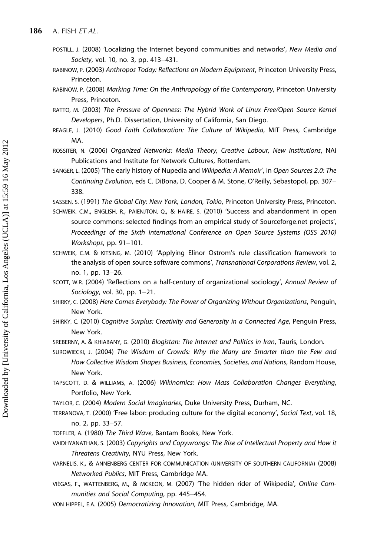- POSTILL, J. (2008) 'Localizing the Internet beyond communities and networks', New Media and Society, vol. 10, no. 3, pp. 413-431.
- RABINOW, P. (2003) Anthropos Today: Reflections on Modern Equipment, Princeton University Press, Princeton.
- RABINOW, P. (2008) Marking Time: On the Anthropology of the Contemporary, Princeton University Press, Princeton.
- RATTO, M. (2003) The Pressure of Openness: The Hybrid Work of Linux Free/Open Source Kernel Developers, Ph.D. Dissertation, University of California, San Diego.
- REAGLE, J. (2010) Good Faith Collaboration: The Culture of Wikipedia, MIT Press, Cambridge MA.
- ROSSITER, N. (2006) Organized Networks: Media Theory, Creative Labour, New Institutions, NAi Publications and Institute for Network Cultures, Rotterdam.
- SANGER, L. (2005) 'The early history of Nupedia and Wikipedia: A Memoir', in Open Sources 2.0: The Continuing Evolution, eds C. DiBona, D. Cooper & M. Stone, O'Reilly, Sebastopol, pp. 307 338.
- SASSEN, S. (1991) The Global City: New York, London, Tokio, Princeton University Press, Princeton.
- SCHWEIK, C.M., ENGLISH, R., PAIENJTON, Q., & HAIRE, S. (2010) 'Success and abandonment in open source commons: selected findings from an empirical study of Sourceforge.net projects', Proceedings of the Sixth International Conference on Open Source Systems (OSS 2010) Workshops, pp.  $91-101$ .
- SCHWEIK, C.M. & KITSING, M. (2010) 'Applying Elinor Ostrom's rule classification framework to the analysis of open source software commons', Transnational Corporations Review, vol. 2, no. 1, pp. 13-26.
- SCOTT, W.R. (2004) 'Reflections on a half-century of organizational sociology', Annual Review of Sociology, vol. 30, pp.  $1-21$ .
- SHIRKY, C. (2008) Here Comes Everybody: The Power of Organizing Without Organizations, Penguin, New York.
- SHIRKY, C. (2010) Cognitive Surplus: Creativity and Generosity in a Connected Age, Penguin Press, New York.
- SREBERNY, A. & KHIABANY, G. (2010) Blogistan: The Internet and Politics in Iran, Tauris, London.
- SUROWIECKI, J. (2004) The Wisdom of Crowds: Why the Many are Smarter than the Few and How Collective Wisdom Shapes Business, Economies, Societies, and Nations, Random House, New York.
- TAPSCOTT, D. & WILLIAMS, A. (2006) Wikinomics: How Mass Collaboration Changes Everything, Portfolio, New York.
- TAYLOR, C. (2004) Modern Social Imaginaries, Duke University Press, Durham, NC.
- TERRANOVA, T. (2000) 'Free labor: producing culture for the digital economy', Social Text, vol. 18, no. 2, pp. 33-57.
- TOFFLER, A. (1980) The Third Wave, Bantam Books, New York.
- VAIDHYANATHAN, S. (2003) Copyrights and Copywrongs: The Rise of Intellectual Property and How it Threatens Creativity, NYU Press, New York.
- VARNELIS, K., & ANNENBERG CENTER FOR COMMUNICATION (UNIVERSITY OF SOUTHERN CALIFORNIA) (2008) Networked Publics, MIT Press, Cambridge MA.
- VIÉGAS, F., WATTENBERG, M., & MCKEON, M. (2007) 'The hidden rider of Wikipedia', Online Communities and Social Computing, pp. 445-454.
- VON HIPPEL, E.A. (2005) Democratizing Innovation, MIT Press, Cambridge, MA.